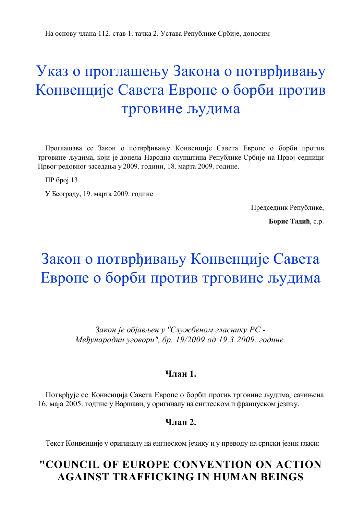# Указ о проглашењу Закона о потврђивању Конвенције Савета Европе о борби против трговине људима

Проглашава се Закон о потврђивању Конвенције Савета Европе о борби против трговине људима, који је донела Народна скупштина Републике Србије на Првој седници Првог редовног заседања у 2009. години, 18. марта 2009. године.

ПР број 13

У Београду, 19. марта 2009. године

Председник Републике,

**Борис Тадић**, с.р.

# Закон о потврђивању Конвенције Савета Европе о борби против трговине људима

*Закон је објављен у "Службеном гласнику РС - Међународни уговори", бр. 19/2009 од 19.3.2009. године.*

### **Члан 1.**

Потврђује се Конвенција Савета Европе о борби против трговине људима, сачињена 16. маја 2005. године у Варшави, у оригиналу на енглеском ифранцуском језику.

### **Члан 2.**

Текст Конвенције у оригиналу на енглеском језику и у преводу на српски језик гласи:

# **"COUNCIL OF EUROPE CONVENTION ON ACTION AGAINST TRAFFICKING IN HUMAN BEINGS**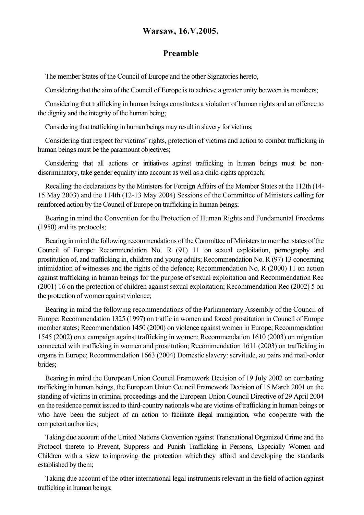### **Warsaw, 16.V.2005.**

### **Preamble**

The member States of the Council of Europe and the other Signatories hereto,

Considering that the aim of the Council of Europe is to achieve a greater unity between its members;

Considering that trafficking in human beings constitutes a violation of human rights and an offence to the dignity and the integrity of the human being;

Considering that trafficking in human beings may result in slavery for victims;

Considering that respect for victims' rights, protection of victims and action to combat trafficking in human beings must be the paramount objectives;

Considering that all actions or initiatives against trafficking in human beings must be nondiscriminatory, take gender equality into account as well as a child-rights approach;

Recalling the declarations by the Ministers for Foreign Affairs of the Member States at the 112th (14- 15 May 2003) and the 114th (12-13 May 2004) Sessions of the Committee of Ministers calling for reinforced action by the Council of Europe on trafficking in human beings;

Bearing in mind the Convention for the Protection of Human Rights and Fundamental Freedoms (1950) and its protocols;

Bearing in mind the following recommendations of the Committee of Ministers to member states of the Council of Europe: Recommendation No. R (91) 11 on sexual exploitation, pornography and prostitution of, and trafficking in, children and young adults; Recommendation No. R (97) 13 concerning intimidation of witnesses and the rights of the defence; Recommendation No. R (2000) 11 on action against trafficking in human beings for the purpose of sexual exploitation and Recommendation Rec (2001) 16 on the protection of children against sexual exploitation; Recommendation Rec (2002) 5 on the protection of women against violence;

Bearing in mind the following recommendations of the Parliamentary Assembly of the Council of Europe: Recommendation 1325 (1997) on traffic in women and forced prostitution in Council of Europe member states; Recommendation 1450 (2000) on violence against women in Europe; Recommendation 1545 (2002) on a campaign against trafficking in women; Recommendation 1610 (2003) on migration connected with trafficking in women and prostitution; Recommendation 1611 (2003) on trafficking in organs in Europe; Recommendation 1663 (2004) Domestic slavery: servitude, au pairs and mail-order brides;

Bearing in mind the European Union Council Framework Decision of 19 July 2002 on combating trafficking in human beings, the European Union Council Framework Decision of 15 March 2001 on the standing of victims in criminal proceedings and the European Union Council Directive of 29 April 2004 on the residence permit issued to third-country nationals who are victims of trafficking in human beings or who have been the subject of an action to facilitate illegal immigration, who cooperate with the competent authorities;

Taking due account of the United Nations Convention against Transnational Organized Crime and the Protocol thereto to Prevent, Suppress and Punish Trafficking in Persons, Especially Women and Children with a view to improving the protection which they afford and developing the standards established by them;

Taking due account of the other international legal instruments relevant in the field of action against trafficking in human beings;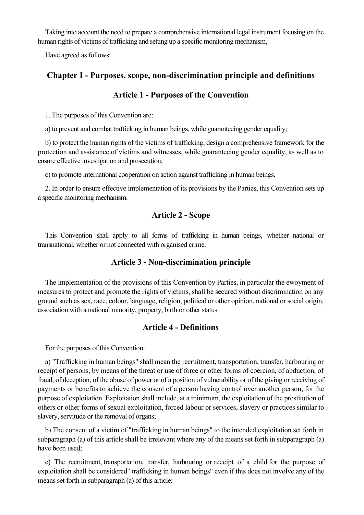Taking into account the need to prepare a comprehensive international legal instrument focusing on the human rights of victims of trafficking and setting up a specific monitoring mechanism,

Have agreed as follows:

### **Chapter I - Purposes, scope, non-discrimination principle and definitions**

### **Article 1 - Purposes of the Convention**

1. The purposes of this Convention are:

a) to prevent and combat trafficking in human beings, while guaranteeing gender equality;

b) to protect the human rights of the victims of trafficking, design a comprehensive framework for the protection and assistance of victims and witnesses, while guaranteeing gender equality, as well as to ensure effective investigation and prosecution;

c) to promote international cooperation on action against trafficking in human beings.

2. In order to ensure effective implementation of its provisions by the Parties, this Convention sets up a specific monitoring mechanism.

### **Article 2 - Scope**

This Convention shall apply to all forms of trafficking in human beings, whether national or transnational, whether or not connected with organised crime.

### **Article 3 - Non-discrimination principle**

The implementation of the provisions of this Convention by Parties, in particular the ewoyment of measures to protect and promote the rights of victims, shall be secured without discrimination on any ground such as sex, race, colour, language, religion, political or other opinion, national or social origin, association with a national minority, property, birth or other status.

### **Article 4 - Definitions**

For the purposes of this Convention:

a) "Trafficking in human beings" shall mean the recruitment, transportation, transfer, harbouring or receipt of persons, by means of the threat or use of force or other forms of coercion, of abduction, of fraud, of deception, of the abuse of power or of a position of vulnerability or of the giving or receiving of payments or benefits to achieve the consent of a person having control over another person, for the purpose of exploitation. Exploitation shall include, at a minimum, the exploitation of the prostitution of others or other forms of sexual exploitation, forced labour or services, slavery or practices similar to slavery, servitude or the removal of organs;

b) The consent of a victim of "trafficking in human beings" to the intended exploitation set forth in subparagraph (a) of this article shall be irrelevant where any of the means set forth in subparagraph (a) have been used;

c) The recruitment, transportation, transfer, harbouring or receipt of a child for the purpose of exploitation shall be considered "trafficking in human beings" even if this does not involve any of the means set forth in subparagraph (a) of this article;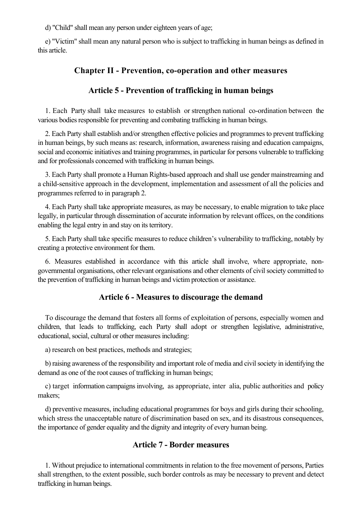d) "Child" shall mean any person under eighteen years of age;

e) "Victim" shall mean any natural person who is subject to trafficking in human beings as defined in this article.

### **Chapter II - Prevention, co-operation and other measures**

### **Article 5 - Prevention of trafficking in human beings**

1. Each Party shall take measures to establish or strengthen national co-ordination between the various bodies responsible for preventing and combating trafficking in human beings.

2. Each Party shall establish and/or strengthen effective policies and programmes to prevent trafficking in human beings, by such means as: research, information, awareness raising and education campaigns, social and economic initiatives and training programmes, in particular for persons vulnerable to trafficking and for professionals concerned with trafficking in human beings.

3. Each Party shall promote a Human Rights-based approach and shall use gender mainstreaming and a child-sensitive approach in the development, implementation and assessment of all the policies and programmes referred to in paragraph 2.

4. Each Party shall take appropriate measures, as may be necessary, to enable migration to take place legally, in particular through dissemination of accurate information by relevant offices, on the conditions enabling the legal entry in and stay on its territory.

5. Each Party shall take specific measures to reduce children's vulnerability to trafficking, notably by creating a protective environment for them.

6. Measures established in accordance with this article shall involve, where appropriate, nongovernmental organisations, other relevant organisations and other elements of civil society committed to the prevention of trafficking in human beings and victim protection or assistance.

### **Article 6 - Measures to discourage the demand**

To discourage the demand that fosters all forms of exploitation of persons, especially women and children, that leads to trafficking, each Party shall adopt or strengthen legislative, administrative, educational, social, cultural or other measures including:

a) research on best practices, methods and strategies;

b) raising awareness of the responsibility and important role of media and civil society in identifying the demand as one of the root causes of trafficking in human beings;

c) target information campaigns involving, as appropriate, inter alia, public authorities and policy makers;

d) preventive measures, including educational programmes for boys and girls during their schooling, which stress the unacceptable nature of discrimination based on sex, and its disastrous consequences, the importance of gender equality and the dignity and integrity of every human being.

### **Article 7 - Border measures**

1. Without prejudice to international commitments in relation to the free movement of persons, Parties shall strengthen, to the extent possible, such border controls as may be necessary to prevent and detect trafficking in human beings.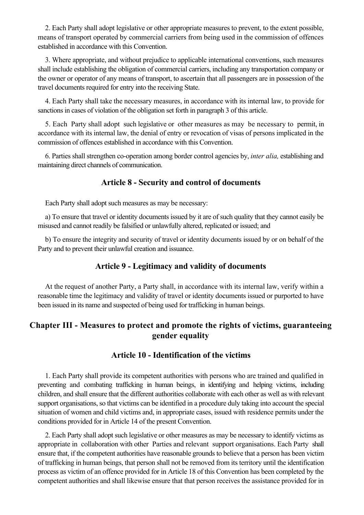2. Each Party shall adopt legislative or other appropriate measures to prevent, to the extent possible, means of transport operated by commercial carriers from being used in the commission of offences established in accordance with this Convention.

3. Where appropriate, and without prejudice to applicable international conventions, such measures shall include establishing the obligation of commercial carriers, including any transportation company or the owner or operator of any means of transport, to ascertain that all passengers are in possession of the travel documents required for entry into the receiving State.

4. Each Party shall take the necessary measures, in accordance with its internal law, to provide for sanctions in cases of violation of the obligation set forth in paragraph 3 of this article.

5. Each Party shall adopt such legislative or other measures as may be necessary to permit, in accordance with its internal law, the denial of entry or revocation of visas of persons implicated in the commission of offences established in accordance with this Convention.

6. Parties shall strengthen co-operation among border control agencies by, *inter alia,* establishing and maintaining direct channels of communication.

### **Article 8 - Security and control of documents**

Each Party shall adopt such measures as may be necessary:

a) To ensure that travel or identity documents issued by it are of such quality that they cannot easily be misused and cannot readily be falsified or unlawfully altered, replicated or issued; and

b) To ensure the integrity and security of travel or identity documents issued by or on behalf of the Party and to prevent their unlawful creation and issuance.

### **Article 9 - Legitimacy and validity of documents**

At the request of another Party, a Party shall, in accordance with its internal law, verify within a reasonable time the legitimacy and validity of travel or identity documents issued or purported to have been issued in its name and suspected of being used for trafficking in human beings.

### **Chapter III - Measures to protect and promote the rights of victims, guaranteeing gender equality**

### **Article 10 - Identification of the victims**

1. Each Party shall provide its competent authorities with persons who are trained and qualified in preventing and combating trafficking in human beings, in identifying and helping victims, including children, and shall ensure that the different authorities collaborate with each other as well as with relevant support organisations, so that victims can be identified in a procedure duly taking into account the special situation of women and child victims and, in appropriate cases, issued with residence permits under the conditions provided for in Article 14 of the present Convention.

2. Each Party shall adopt such legislative or other measures as may be necessary to identify victims as appropriate in collaboration with other Parties and relevant support organisations. Each Party shall ensure that, if the competent authorities have reasonable grounds to believe that a person has been victim of trafficking in human beings, that person shall not be removed from its territory until the identification process as victim of an offence provided for in Article 18 of this Convention has been completed by the competent authorities and shall likewise ensure that that person receives the assistance provided for in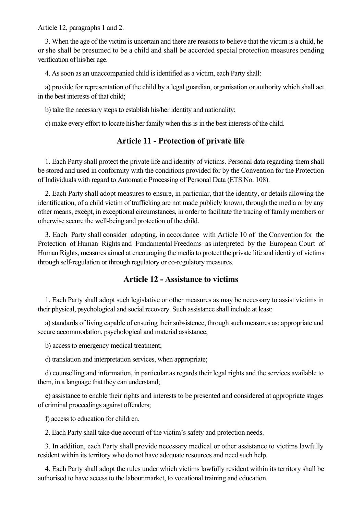Article 12, paragraphs 1 and 2.

3. When the age of the victim is uncertain and there are reasons to believe that the victim is a child, he or she shall be presumed to be a child and shall be accorded special protection measures pending verification of his/her age.

4. As soon as an unaccompanied child is identified as a victim, each Party shall:

a) provide for representation of the child by a legal guardian, organisation or authority which shall act in the best interests of that child;

b) take the necessary steps to establish his/her identity and nationality;

c) make every effort to locate his/her family when this is in the best interests of the child.

### **Article 11 - Protection of private life**

1. Each Party shall protect the private life and identity of victims. Personal data regarding them shall be stored and used in conformity with the conditions provided for by the Convention for the Protection of Individuals with regard to Automatic Processing of Personal Data (ETS No. 108).

2. Each Party shall adopt measures to ensure, in particular, that the identity, or details allowing the identification, of a child victim of trafficking are not made publicly known, through the media or by any other means, except, in exceptional circumstances, in order to facilitate the tracing of family members or otherwise secure the well-being and protection of the child.

3. Each Party shall consider adopting, in accordance with Article 10 of the Convention for the Protection of Human Rights and Fundamental Freedoms as interpreted by the European Court of Human Rights, measures aimed at encouraging the media to protect the private life and identity of victims through self-regulation or through regulatory or co-regulatory measures.

### **Article 12 - Assistance to victims**

1. Each Party shall adopt such legislative or other measures as may be necessary to assist victims in their physical, psychological and social recovery. Such assistance shall include at least:

a) standards of living capable of ensuring their subsistence, through such measures as: appropriate and secure accommodation, psychological and material assistance;

b) access to emergency medical treatment;

c) translation and interpretation services, when appropriate;

d) counselling and information, in particular as regards their legal rights and the services available to them, in a language that they can understand;

e) assistance to enable their rights and interests to be presented and considered at appropriate stages of criminal proceedings against offenders;

f) access to education for children.

2. Each Party shall take due account of the victim's safety and protection needs.

3. In addition, each Party shall provide necessary medical or other assistance to victims lawfully resident within its territory who do not have adequate resources and need such help.

4. Each Party shall adopt the rules under which victims lawfully resident within its territory shall be authorised to have access to the labour market, to vocational training and education.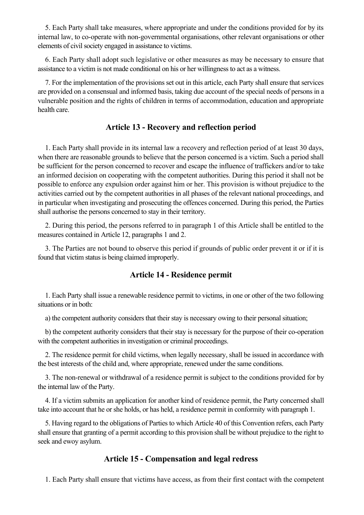5. Each Party shall take measures, where appropriate and under the conditions provided for by its internal law, to co-operate with non-governmental organisations, other relevant organisations or other elements of civil society engaged in assistance to victims.

6. Each Party shall adopt such legislative or other measures as may be necessary to ensure that assistance to a victim is not made conditional on his or her willingness to act as a witness.

7. For the implementation of the provisions set out in this article, each Party shall ensure that services are provided on a consensual and informed basis, taking due account of the special needs of persons in a vulnerable position and the rights of children in terms of accommodation, education and appropriate health care.

### **Article 13 - Recovery and reflection period**

1. Each Party shall provide in its internal law a recovery and reflection period of at least 30 days, when there are reasonable grounds to believe that the person concerned is a victim. Such a period shall be sufficient for the person concerned to recover and escape the influence of traffickers and/or to take an informed decision on cooperating with the competent authorities. During this period it shall not be possible to enforce any expulsion order against him or her. This provision is without prejudice to the activities carried out by the competent authorities in all phases of the relevant national proceedings, and in particular when investigating and prosecuting the offences concerned. During this period, the Parties shall authorise the persons concerned to stay in their territory.

2. During this period, the persons referred to in paragraph 1 of this Article shall be entitled to the measures contained in Article 12, paragraphs 1 and 2.

3. The Parties are not bound to observe this period if grounds of public order prevent it or if it is found that victim status is being claimed improperly.

### **Article 14 - Residence permit**

1. Each Party shall issue a renewable residence permit to victims, in one or other of the two following situations or in both:

a) the competent authority considers that their stay is necessary owing to their personal situation;

b) the competent authority considers that their stay is necessary for the purpose of their co-operation with the competent authorities in investigation or criminal proceedings.

2. The residence permit for child victims, when legally necessary, shall be issued in accordance with the best interests of the child and, where appropriate, renewed under the same conditions.

3. The non-renewal or withdrawal of a residence permit is subject to the conditions provided for by the internal law of the Party.

4. If a victim submits an application for another kind of residence permit, the Party concerned shall take into account that he or she holds, or has held, a residence permit in conformity with paragraph 1.

5. Having regard to the obligations of Parties to which Article 40 of this Convention refers, each Party shall ensure that granting of a permit according to this provision shall be without prejudice to the right to seek and ewoy asylum.

### **Article 15 - Compensation and legal redress**

1. Each Party shall ensure that victims have access, as from their first contact with the competent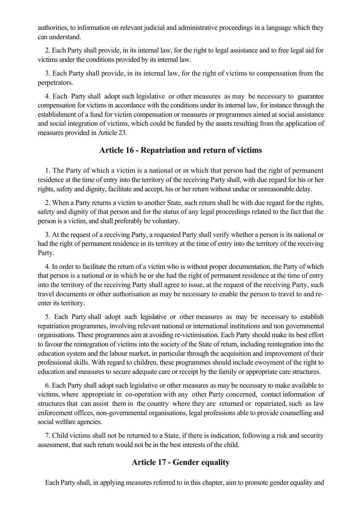authorities, to information on relevant judicial and administrative proceedings in a language which they can understand.

2. Each Party shall provide, in its internal law, for the right to legal assistance and to free legal aid for victims under the conditions provided by its internal law.

3. Each Party shall provide, in its internal law, for the right of victims to compensation from the perpetrators.

4. Each Party shall adopt such legislative or other measures as may be necessary to guarantee compensation for victims in accordance with the conditions under its internal law, for instance through the establishment of a fund for victim compensation or measures or programmes aimed at social assistance and social integration of victims, which could be funded by the assets resulting from the application of measures provided in Article 23.

### **Article 16 - Repatriation and return of victims**

1. The Party of which a victim is a national or in which that person had the right of permanent residence at the time of entry into the territory of the receiving Party shall, with due regard for his or her rights, safety and dignity, facilitate and accept, his or her return without undue or unreasonable delay.

2. When a Party returns a victim to another State, such return shall be with due regard for the rights, safety and dignity of that person and for the status of any legal proceedings related to the fact that the person is a victim, and shall preferably be voluntary.

3. At the request of a receiving Party, a requested Party shall verify whether a person is its national or had the right of permanent residence in its territory at the time of entry into the territory of the receiving Party.

4. In order to facilitate the return of a victim who is without proper documentation, the Party of which that person is a national or in which he or she had the right of permanent residence at the time of entry into the territory of the receiving Party shall agree to issue, at the request of the receiving Party, such travel documents or other authorisation as may be necessary to enable the person to travel to and reenter its territory.

5. Each Party shall adopt such legislative or other measures as may be necessary to establish repatriation programmes, involving relevant national or international institutions and non governmental organisations. These programmes aim at avoiding re-victimisation. Each Party should make its best effort to favour the reintegration of victims into the society of the State of return, including reintegration into the education system and the labour market, in particular through the acquisition and improvement of their professional skills. With regard to children, these programmes should include ewoyment of the right to education and measures to secure adequate care or receipt by the family or appropriate care structures.

6. Each Party shall adopt such legislative or other measures as may be necessary to make available to victims, where appropriate in co-operation with any other Party concerned, contact information of structures that can assist them in the country where they are returned or repatriated, such as law enforcement offices, non-governmental organisations, legal professions able to provide counselling and social welfare agencies.

7. Child victims shall not be returned to a State, if there is indication, following a risk and security assessment, that such return would not be in the best interests of the child.

### **Article 17 - Gender equality**

Each Party shall, in applying measures referred to in this chapter, aim to promote gender equality and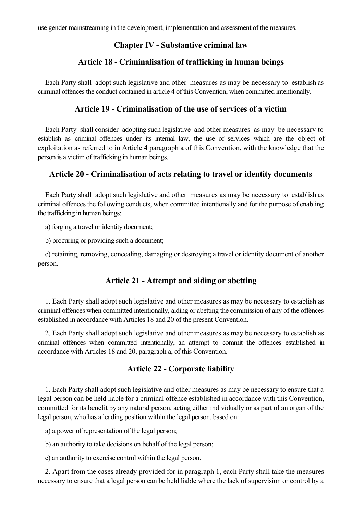use gender mainstreaming in the development, implementation and assessment of the measures.

### **Chapter IV - Substantive criminal law**

### **Article 18 - Criminalisation of trafficking in human beings**

Each Party shall adopt such legislative and other measures as may be necessary to establish as criminal offences the conduct contained in article 4 of this Convention, when committed intentionally.

### **Article 19 - Criminalisation of the use of services of a victim**

Each Party shall consider adopting such legislative and other measures as may be necessary to establish as criminal offences under its internal law, the use of services which are the object of exploitation as referred to in Article 4 paragraph a of this Convention, with the knowledge that the person is a victim of trafficking in human beings.

### **Article 20 - Criminalisation of acts relating to travel or identity documents**

Each Party shall adopt such legislative and other measures as may be necessary to establish as criminal offences the following conducts, when committed intentionally and for the purpose of enabling the trafficking in human beings:

a) forging a travel or identity document;

b) procuring or providing such a document;

c) retaining, removing, concealing, damaging or destroying a travel or identity document of another person.

### **Article 21 - Attempt and aiding or abetting**

1. Each Party shall adopt such legislative and other measures as may be necessary to establish as criminal offences when committed intentionally, aiding or abetting the commission of any of the offences established in accordance with Articles 18 and 20 of the present Convention.

2. Each Party shall adopt such legislative and other measures as may be necessary to establish as criminal offences when committed intentionally, an attempt to commit the offences established in accordance with Articles 18 and 20, paragraph a, of this Convention.

### **Article 22 - Corporate liability**

1. Each Party shall adopt such legislative and other measures as may be necessary to ensure that a legal person can be held liable for a criminal offence established in accordance with this Convention, committed for its benefit by any natural person, acting either individually or as part of an organ of the legal person, who has a leading position within the legal person, based on:

a) a power of representation of the legal person;

b) an authority to take decisions on behalf of the legal person;

c) an authority to exercise control within the legal person.

2. Apart from the cases already provided for in paragraph 1, each Party shall take the measures necessary to ensure that a legal person can be held liable where the lack of supervision or control by a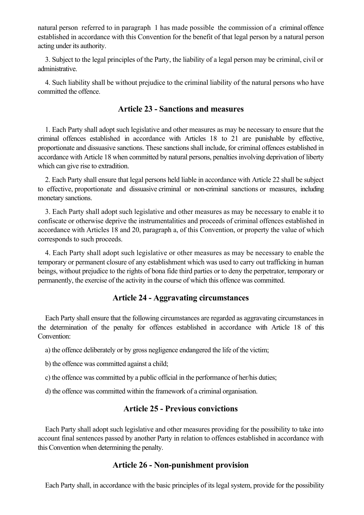natural person referred to in paragraph 1 has made possible the commission of a criminal offence established in accordance with this Convention for the benefit of that legal person by a natural person acting under its authority.

3. Subject to the legal principles of the Party, the liability of a legal person may be criminal, civil or administrative.

4. Such liability shall be without prejudice to the criminal liability of the natural persons who have committed the offence.

### **Article 23 - Sanctions and measures**

1. Each Party shall adopt such legislative and other measures as may be necessary to ensure that the criminal offences established in accordance with Articles 18 to 21 are punishable by effective, proportionate and dissuasive sanctions. These sanctions shall include, for criminal offences established in accordance with Article 18 when committed by natural persons, penalties involving deprivation of liberty which can give rise to extradition.

2. Each Party shall ensure that legal persons held liable in accordance with Article 22 shall be subject to effective, proportionate and dissuasive criminal or non-criminal sanctions or measures, including monetary sanctions.

3. Each Party shall adopt such legislative and other measures as may be necessary to enable it to confiscate or otherwise deprive the instrumentalities and proceeds of criminal offences established in accordance with Articles 18 and 20, paragraph a, of this Convention, or property the value of which corresponds to such proceeds.

4. Each Party shall adopt such legislative or other measures as may be necessary to enable the temporary or permanent closure of any establishment which was used to carry out trafficking in human beings, without prejudice to the rights of bona fide third parties or to deny the perpetrator, temporary or permanently, the exercise of the activity in the course of which this offence was committed.

### **Article 24 - Aggravating circumstances**

Each Party shall ensure that the following circumstances are regarded as aggravating circumstances in the determination of the penalty for offences established in accordance with Article 18 of this Convention:

- a) the offence deliberately or by gross negligence endangered the life of the victim;
- b) the offence was committed against a child;
- c) the offence was committed by a public official in the performance of her/his duties;
- d) the offence was committed within the framework of a criminal organisation.

### **Article 25 - Previous convictions**

Each Party shall adopt such legislative and other measures providing for the possibility to take into account final sentences passed by another Party in relation to offences established in accordance with this Convention when determining the penalty.

### **Article 26 - Non-punishment provision**

Each Party shall, in accordance with the basic principles of its legal system, provide for the possibility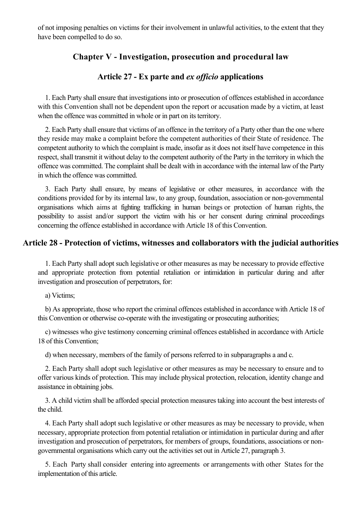of not imposing penalties on victims for their involvement in unlawful activities, to the extent that they have been compelled to do so.

### **Chapter V - Investigation, prosecution and procedural law**

### **Article 27 - Ex parte and** *ex officio* **applications**

1. Each Party shall ensure that investigations into or prosecution of offences established in accordance with this Convention shall not be dependent upon the report or accusation made by a victim, at least when the offence was committed in whole or in part on its territory.

2. Each Party shall ensure that victims of an offence in the territory of a Party other than the one where they reside may make a complaint before the competent authorities of their State of residence. The competent authority to which the complaint is made, insofar as it does not itself have competence in this respect, shall transmit it without delay to the competent authority of the Party in the territory in which the offence was committed. The complaint shall be dealt with in accordance with the internal law of the Party in which the offence was committed.

3. Each Party shall ensure, by means of legislative or other measures, in accordance with the conditions provided for by its internal law, to any group, foundation, association or non-governmental organisations which aims at fighting trafficking in human beings or protection of human rights, the possibility to assist and/or support the victim with his or her consent during criminal proceedings concerning the offence established in accordance with Article 18 of this Convention.

### **Article 28 - Protection of victims, witnesses and collaborators with the judicial authorities**

1. Each Party shall adopt such legislative or other measures as may be necessary to provide effective and appropriate protection from potential retaliation or intimidation in particular during and after investigation and prosecution of perpetrators, for:

a) Victims;

b) As appropriate, those who report the criminal offences established in accordance with Article 18 of this Convention or otherwise co-operate with the investigating or prosecuting authorities;

c) witnesses who give testimony concerning criminal offences established in accordance with Article 18 of this Convention;

d) when necessary, members of the family of persons referred to in subparagraphs a and c.

2. Each Party shall adopt such legislative or other measures as may be necessary to ensure and to offer various kinds of protection. This may include physical protection, relocation, identity change and assistance in obtaining jobs.

3. A child victim shall be afforded special protection measures taking into account the best interests of the child.

4. Each Party shall adopt such legislative or other measures as may be necessary to provide, when necessary, appropriate protection from potential retaliation or intimidation in particular during and after investigation and prosecution of perpetrators, for members of groups, foundations, associations or nongovernmental organisations which carry out the activities set out in Article 27, paragraph 3.

5. Each Party shall consider entering into agreements or arrangements with other States for the implementation of this article.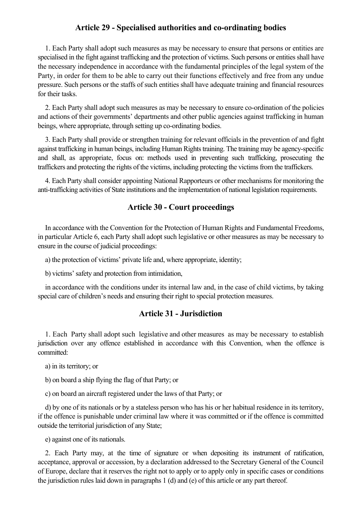### **Article 29 - Specialised authorities and co-ordinating bodies**

1. Each Party shall adopt such measures as may be necessary to ensure that persons or entities are specialised in the fight against trafficking and the protection of victims. Such persons or entities shall have the necessary independence in accordance with the fundamental principles of the legal system of the Party, in order for them to be able to carry out their functions effectively and free from any undue pressure. Such persons or the staffs of such entities shall have adequate training and financial resources for their tasks.

2. Each Party shall adopt such measures as may be necessary to ensure co-ordination of the policies and actions of their governments' departments and other public agencies against trafficking in human beings, where appropriate, through setting up co-ordinating bodies.

3. Each Party shall provide or strengthen training for relevant officials in the prevention of and fight against trafficking in human beings, including Human Rights training. The training may be agency-specific and shall, as appropriate, focus on: methods used in preventing such trafficking, prosecuting the traffickers and protecting the rights of the victims, including protecting the victims from the traffickers.

4. Each Party shall consider appointing National Rapporteurs or other mechanisms for monitoring the anti-trafficking activities of State institutions and the implementation of national legislation requirements.

#### **Article 30 - Court proceedings**

In accordance with the Convention for the Protection of Human Rights and Fundamental Freedoms, in particular Article 6, each Party shall adopt such legislative or other measures as may be necessary to ensure in the course of judicial proceedings:

a) the protection of victims' private life and, where appropriate, identity;

b) victims' safety and protection from intimidation,

in accordance with the conditions under its internal law and, in the case of child victims, by taking special care of children's needs and ensuring their right to special protection measures.

#### **Article 31 - Jurisdiction**

1. Each Party shall adopt such legislative and other measures as may be necessary to establish jurisdiction over any offence established in accordance with this Convention, when the offence is committed:

a) in its territory; or

b) on board a ship flying the flag of that Party; or

c) on board an aircraft registered under the laws of that Party; or

d) by one of its nationals or by a stateless person who has his or her habitual residence in its territory, if the offence is punishable under criminal law where it was committed or if the offence is committed outside the territorial jurisdiction of any State;

e) against one of its nationals.

2. Each Party may, at the time of signature or when depositing its instrument of ratification, acceptance, approval or accession, by a declaration addressed to the Secretary General of the Council of Europe, declare that it reserves the right not to apply or to apply only in specific cases or conditions the jurisdiction rules laid down in paragraphs 1 (d) and (e) of this article or any part thereof.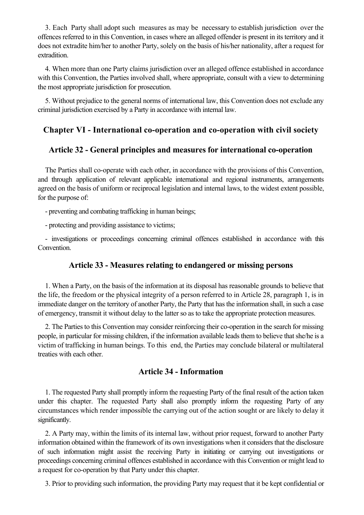3. Each Party shall adopt such measures as may be necessary to establish jurisdiction over the offences referred to in this Convention, in cases where an alleged offender is present in its territory and it does not extradite him/her to another Party, solely on the basis of his/her nationality, after a request for extradition.

4. When more than one Party claims jurisdiction over an alleged offence established in accordance with this Convention, the Parties involved shall, where appropriate, consult with a view to determining the most appropriate jurisdiction for prosecution.

5. Without prejudice to the general norms of international law, this Convention does not exclude any criminal jurisdiction exercised by a Party in accordance with internal law.

### **Chapter VI - International co-operation and co-operation with civil society**

#### **Article 32 - General principles and measures for international co-operation**

The Parties shall co-operate with each other, in accordance with the provisions of this Convention, and through application of relevant applicable international and regional instruments, arrangements agreed on the basis of uniform or reciprocal legislation and internal laws, to the widest extent possible, for the purpose of:

- preventing and combating trafficking in human beings;

- protecting and providing assistance to victims;

- investigations or proceedings concerning criminal offences established in accordance with this Convention.

### **Article 33 - Measures relating to endangered or missing persons**

1. When a Party, on the basis of the information at its disposal has reasonable grounds to believe that the life, the freedom or the physical integrity of a person referred to in Article 28, paragraph 1, is in immediate danger on the territory of another Party, the Party that has the information shall, in such a case of emergency, transmit it without delay to the latter so as to take the appropriate protection measures.

2. The Parties to this Convention may consider reinforcing their co-operation in the search for missing people, in particular for missing children, if the information available leads them to believe that she/he is a victim of trafficking in human beings. To this end, the Parties may conclude bilateral or multilateral treaties with each other.

### **Article 34 - Information**

1. The requested Party shall promptly inform the requesting Party of the final result of the action taken under this chapter. The requested Party shall also promptly inform the requesting Party of any circumstances which render impossible the carrying out of the action sought or are likely to delay it significantly.

2. A Party may, within the limits of its internal law, without prior request, forward to another Party information obtained within the framework of its own investigations when it considers that the disclosure of such information might assist the receiving Party in initiating or carrying out investigations or proceedings concerning criminal offences established in accordance with this Convention or might lead to a request for co-operation by that Party under this chapter.

3. Prior to providing such information, the providing Party may request that it be kept confidential or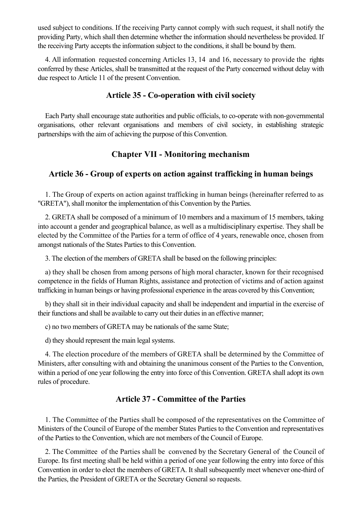used subject to conditions. If the receiving Party cannot comply with such request, it shall notify the providing Party, which shall then determine whether the information should nevertheless be provided. If the receiving Party accepts the information subject to the conditions, it shall be bound by them.

4. All information requested concerning Articles 13, 14 and 16, necessary to provide the rights conferred by these Articles, shall be transmitted at the request of the Party concerned without delay with due respect to Article 11 of the present Convention.

### **Article 35 - Co-operation with civil society**

Each Party shall encourage state authorities and public officials, to co-operate with non-governmental organisations, other relevant organisations and members of civil society, in establishing strategic partnerships with the aim of achieving the purpose of this Convention.

### **Chapter VII - Monitoring mechanism**

### **Article 36 - Group of experts on action against trafficking in human beings**

1. The Group of experts on action against trafficking in human beings (hereinafter referred to as "GRETA"), shall monitor the implementation of this Convention by the Parties.

2. GRETA shall be composed of a minimum of 10 members and a maximum of 15 members, taking into account a gender and geographical balance, as well as a multidisciplinary expertise. They shall be elected by the Committee of the Parties for a term of office of 4 years, renewable once, chosen from amongst nationals of the States Parties to this Convention.

3. The election of the members of GRETA shall be based on the following principles:

a) they shall be chosen from among persons of high moral character, known for their recognised competence in the fields of Human Rights, assistance and protection of victims and of action against trafficking in human beings or having professional experience in the areas covered by this Convention;

b) they shall sit in their individual capacity and shall be independent and impartial in the exercise of their functions and shall be available to carry out their duties in an effective manner;

c) no two members of GRETA may be nationals of the same State;

d) they should represent the main legal systems.

4. The election procedure of the members of GRETA shall be determined by the Committee of Ministers, after consulting with and obtaining the unanimous consent of the Parties to the Convention, within a period of one year following the entry into force of this Convention. GRETA shall adopt its own rules of procedure.

### **Article 37 - Committee of the Parties**

1. The Committee of the Parties shall be composed of the representatives on the Committee of Ministers of the Council of Europe of the member States Parties to the Convention and representatives of the Parties to the Convention, which are not members of the Council of Europe.

2. The Committee of the Parties shall be convened by the Secretary General of the Council of Europe. Its first meeting shall be held within a period of one year following the entry into force of this Convention in order to elect the members of GRETA. It shall subsequently meet whenever one-third of the Parties, the President of GRETA or the Secretary General so requests.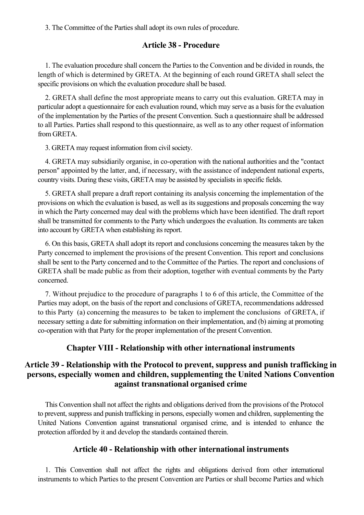3. The Committee of the Parties shall adopt its own rules of procedure.

### **Article 38 - Procedure**

1. The evaluation procedure shall concern the Parties to the Convention and be divided in rounds, the length of which is determined by GRETA. At the beginning of each round GRETA shall select the specific provisions on which the evaluation procedure shall be based.

2. GRETA shall define the most appropriate means to carry out this evaluation. GRETA may in particular adopt a questionnaire for each evaluation round, which may serve as a basis for the evaluation of the implementation by the Parties of the present Convention. Such a questionnaire shall be addressed to all Parties. Parties shall respond to this questionnaire, as well as to any other request of information from GRETA.

3. GRETA may request information from civil society.

4. GRETA may subsidiarily organise, in co-operation with the national authorities and the "contact person" appointed by the latter, and, if necessary, with the assistance of independent national experts, country visits. During these visits, GRETA may be assisted by specialists in specific fields.

5. GRETA shall prepare a draft report containing its analysis concerning the implementation of the provisions on which the evaluation is based, as well as its suggestions and proposals concerning the way in which the Party concerned may deal with the problems which have been identified. The draft report shall be transmitted for comments to the Party which undergoes the evaluation. Its comments are taken into account by GRETA when establishing its report.

6. On this basis, GRETA shall adopt its report and conclusions concerning the measures taken by the Party concerned to implement the provisions of the present Convention. This report and conclusions shall be sent to the Party concerned and to the Committee of the Parties. The report and conclusions of GRETA shall be made public as from their adoption, together with eventual comments by the Party concerned.

7. Without prejudice to the procedure of paragraphs 1 to 6 of this article, the Committee of the Parties may adopt, on the basis of the report and conclusions of GRETA, recommendations addressed to this Party (a) concerning the measures to be taken to implement the conclusions of GRETA, if necessary setting a date for submitting information on their implementation, and (b) aiming at promoting co-operation with that Party for the proper implementation of the present Convention.

### **Chapter VIII - Relationship with other international instruments**

### **Article 39 - Relationship with the Protocol to prevent, suppress and punish trafficking in persons, especially women and children, supplementing the United Nations Convention against transnational organised crime**

This Convention shall not affect the rights and obligations derived from the provisions of the Protocol to prevent, suppress and punish trafficking in persons, especially women and children, supplementing the United Nations Convention against transnational organised crime, and is intended to enhance the protection afforded by it and develop the standards contained therein.

### **Article 40 - Relationship with other international instruments**

1. This Convention shall not affect the rights and obligations derived from other international instruments to which Parties to the present Convention are Parties or shall become Parties and which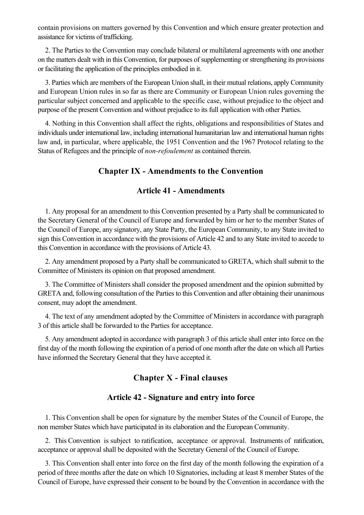contain provisions on matters governed by this Convention and which ensure greater protection and assistance for victims of trafficking.

2. The Parties to the Convention may conclude bilateral or multilateral agreements with one another on the matters dealt with in this Convention, for purposes of supplementing or strengthening its provisions or facilitating the application of the principles embodied in it.

3. Parties which are members of the European Union shall, in their mutual relations, apply Community and European Union rules in so far as there are Community or European Union rules governing the particular subject concerned and applicable to the specific case, without prejudice to the object and purpose of the present Convention and without prejudice to its full application with other Parties.

4. Nothing in this Convention shall affect the rights, obligations and responsibilities of States and individuals under international law, including international humanitarian law and international human rights law and, in particular, where applicable, the 1951 Convention and the 1967 Protocol relating to the Status of Refugees and the principle of *non-refoulement* as contained therein.

### **Chapter IX - Amendments to the Convention**

### **Article 41 - Amendments**

1. Any proposal for an amendment to this Convention presented by a Party shall be communicated to the Secretary General of the Council of Europe and forwarded by him or her to the member States of the Council of Europe, any signatory, any State Party, the European Community, to any State invited to sign this Convention in accordance with the provisions of Article 42 and to any State invited to accede to this Convention in accordance with the provisions of Article 43.

2. Any amendment proposed by a Party shall be communicated to GRETA, which shall submit to the Committee of Ministers its opinion on that proposed amendment.

3. The Committee of Ministers shall consider the proposed amendment and the opinion submitted by GRETA and, following consultation of the Parties to this Convention and after obtaining their unanimous consent, may adopt the amendment.

4. The text of any amendment adopted by the Committee of Ministers in accordance with paragraph 3 of this article shall be forwarded to the Parties for acceptance.

5. Any amendment adopted in accordance with paragraph 3 of this article shall enter into force on the first day of the month following the expiration of a period of one month after the date on which all Parties have informed the Secretary General that they have accepted it.

### **Chapter X - Final clauses**

### **Article 42 - Signature and entry into force**

1. This Convention shall be open for signature by the member States of the Council of Europe, the non member States which have participated in its elaboration and the European Community.

2. This Convention is subject to ratification, acceptance or approval. Instruments of ratification, acceptance or approval shall be deposited with the Secretary General of the Council of Europe.

3. This Convention shall enter into force on the first day of the month following the expiration of a period of three months after the date on which 10 Signatories, including at least 8 member States of the Council of Europe, have expressed their consent to be bound by the Convention in accordance with the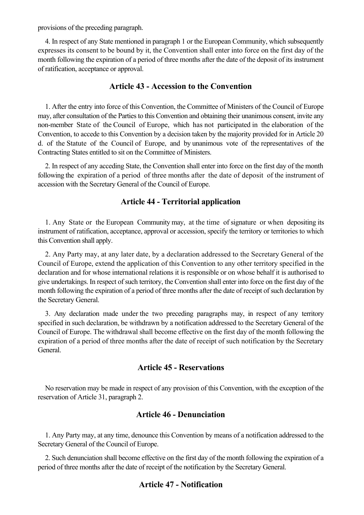provisions of the preceding paragraph.

4. In respect of any State mentioned in paragraph 1 or the European Community, which subsequently expresses its consent to be bound by it, the Convention shall enter into force on the first day of the month following the expiration of a period of three months after the date of the deposit of its instrument of ratification, acceptance or approval.

#### **Article 43 - Accession to the Convention**

1. After the entry into force of this Convention, the Committee of Ministers of the Council of Europe may, after consultation of the Parties to this Convention and obtaining their unanimous consent, invite any non-member State of the Council of Europe, which has not participated in the elaboration of the Convention, to accede to this Convention by a decision taken by the majority provided for in Article 20 d. of the Statute of the Council of Europe, and by unanimous vote of the representatives of the Contracting States entitled to sit on the Committee of Ministers.

2. In respect of any acceding State, the Convention shall enter into force on the first day of the month following the expiration of a period of three months after the date of deposit of the instrument of accession with the Secretary General of the Council of Europe.

#### **Article 44 - Territorial application**

1. Any State or the European Community may, at the time of signature or when depositing its instrument of ratification, acceptance, approval or accession, specify the territory or territories to which this Convention shall apply.

2. Any Party may, at any later date, by a declaration addressed to the Secretary General of the Council of Europe, extend the application of this Convention to any other territory specified in the declaration and for whose international relations it is responsible or on whose behalf it is authorised to give undertakings. In respect of such territory, the Convention shall enter into force on the first day of the month following the expiration of a period of three months after the date of receipt of such declaration by the Secretary General.

3. Any declaration made under the two preceding paragraphs may, in respect of any territory specified in such declaration, be withdrawn by a notification addressed to the Secretary General of the Council of Europe. The withdrawal shall become effective on the first day of the month following the expiration of a period of three months after the date of receipt of such notification by the Secretary General.

### **Article 45 - Reservations**

No reservation may be made in respect of any provision of this Convention, with the exception of the reservation of Article 31, paragraph 2.

### **Article 46 - Denunciation**

1. Any Party may, at any time, denounce this Convention by means of a notification addressed to the Secretary General of the Council of Europe.

2. Such denunciation shall become effective on the first day of the month following the expiration of a period of three months after the date of receipt of the notification by the Secretary General.

#### **Article 47 - Notification**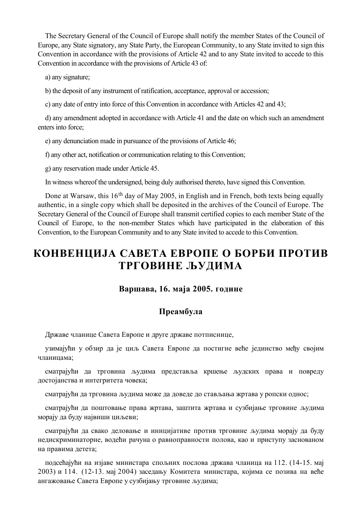The Secretary General of the Council of Europe shall notify the member States of the Council of Europe, any State signatory, any State Party, the European Community, to any State invited to sign this Convention in accordance with the provisions of Article 42 and to any State invited to accede to this Convention in accordance with the provisions of Article 43 of:

a) any signature;

b) the deposit of any instrument of ratification, acceptance, approval or accession;

c) any date of entry into force of this Convention in accordance with Articles 42 and 43;

d) any amendment adopted in accordance with Article 41 and the date on which such an amendment enters into force;

e) any denunciation made in pursuance of the provisions of Article 46;

f) any other act, notification or communication relating to this Convention;

g) any reservation made under Article 45.

In witness whereof the undersigned, being duly authorised thereto, have signed this Convention.

Done at Warsaw, this 16<sup>th</sup> day of May 2005, in English and in French, both texts being equally authentic, in a single copy which shall be deposited in the archives of the Council of Europe. The Secretary General of the Council of Europe shall transmit certified copies to each member State of the Council of Europe, to the non-member States which have participated in the elaboration of this Convention, to the European Community and to any State invited to accede to this Convention.

# **КОНВЕНЦИЈА САВЕТА ЕВРОПЕ О БОРБИ ПРОТИВ ТРГОВИНЕ ЉУДИМА**

### **Варшава, 16. маја 2005. године**

## **Преамбула**

Државе чланице Савета Европе и друге државе потписнице,

узимајући у обзир да је циљ Савета Европе да постигне веће јединство међу својим чланицама;

сматрајући да трговина људима представља кршење људских права и повреду достојанства и интегритета човека;

сматрајући да трговина људима може да доведе до стављања жртава у ропски однос;

сматрајући да поштовање права жртава, заштита жртава и сузбијање трговине људима морају да буду највиши циљеви;

сматрајући да свако деловање и иницијативе против трговине људима морају да буду недискриминаторне, водећи рачуна о равноправности полова, као и приступу заснованом на правима детета;

подсећајући на изјаве министара спољних послова држава чланица на 112. (14-15. мај 2003) и 114. (12-13. мај 2004) заседању Комитета министара, којима се позива на веће ангажовање Савета Европе у сузбијању трговине људима;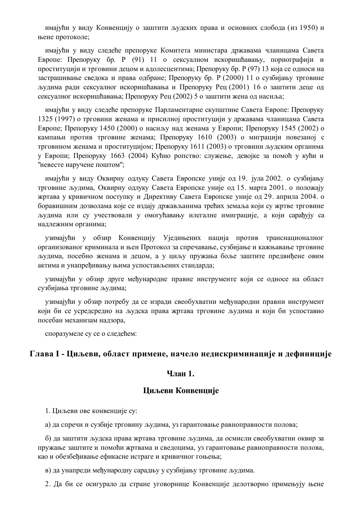имајући у виду Конвенцију о заштити људских права и основних слобода (из 1950) и њене протоколе;

имајући у виду следеће препоруке Комитета министара државама чланицама Савета Европе: Препоруку бр. Р (91) 11 о сексуалном искоришћавању, порнографији и проституцији и трговини децом и адолесцентима; Препоруку бр. Р (97) 13 која се односи на застрашивање сведока и права одбране; Препоруку бр. Р (2000) 11 о сузбијању трговине људима ради сексуалног искоришћавања и Препоруку Рец (2001) 16 о заштити деце од сексуалног искоришћавања; Препоруку Рец (2002) 5 о заштити жена од насиља;

имајући у виду следеће препоруке Парламентарне скупштине Савета Европе: Препоруку 1325 (1997) о трговини женама и присилној проституцији у државама чланицама Савета Европе; Препоруку 1450 (2000) о насиљу над женама у Европи; Препоруку 1545 (2002) о кампањи против трговине женама; Препоруку 1610 (2003) о миграцији повезаној с трговином женама и проституцијом; Препоруку 1611 (2003) о трговини људским органима у Европи; Препоруку 1663 (2004) Кућно ропство: служење, девојке за помоћ у кући и "невесте наручене поштом";

имајући у виду Оквирну одлуку Савета Европске уније од 19. јула 2002. о сузбијању трговине људима, Оквирну одлуку Савета Европске уније од 15. марта 2001. о положају жртава у кривичном поступку и Директиву Савета Европске уније од 29. априла 2004. о боравишним дозволама које се издају држављанима трећих земаља који су жртве трговине људима или су учествовали у омогућавању илегалне имиграције, а који сарађују са надлежним органима;

узимајући у обзир Конвенцију Уједињених нација против транснационалног организованог криминала и њен Протокол за спречавање, сузбијање и кажњавање трговине људима, посебно женама и децом, а у циљу пружања боље заштите предвиђене овим актима и унапређивању њима успостављених стандарда;

узимајући у обзир друге међународне правне инструменте који се односе на област сузбијања трговине људима;

узимајући у обзир потребу да се изради свеобухватни међународни правни инструмент који би се усредсредио на људска права жртава трговине људима и који би успоставио посебан механизам надзора,

споразумеле су се о следећем:

#### **Глава I - Циљеви, област примене, начело недискриминације и дефиниције**

#### **Члан 1.**

#### **Циљеви Конвенције**

1. Циљеви ове конвенције су:

а) да спречи и сузбије трговину људима, уз гарантовање равноправности полова;

б) да заштити људска права жртава трговине људима, да осмисли свеобухватни оквир за пружање заштите и помоћи жртвама и сведоцима, уз гарантовање равноправности полова, као и обезбеђивање ефикасне истраге и кривичног гоњења;

в) да унапреди међународну сарадњу у сузбијању трговине људима.

2. Да би се осигурало да стране уговорнице Конвенције делотворно примењују њене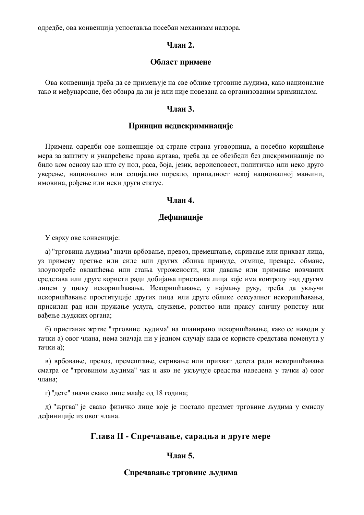одредбе, ова конвенција успоставља посебан механизам надзора.

### **Члан 2.**

#### **Област примене**

Ова конвенција треба да се примењује на све облике трговине људима, како националне тако и међународне, без обзира да ли је или није повезана са организованим криминалом.

#### **Члан 3.**

#### **Принцип недискриминације**

Примена одредби ове конвенције од стране страна уговорница, а посебно коришћење мера за заштиту и унапређење права жртава, треба да се обезбеди без дискриминације по било ком основу као што су пол, раса, боја, језик, вероисповест, политичко или неко друго уверење, национално или социјално порекло, припадност некој националној мањини, имовина, рођење или неки други статус.

#### **Члан 4.**

#### **Дефиниције**

У сврху ове конвенције:

а) "трговина људима" значи врбовање, превоз, премештање, скривање или прихват лица, уз примену претње или силе или других облика принуде, отмице, преваре, обмане, злоупотребе овлашћења или стања угрожености, или давање или примање новчаних средстава или друге користи ради добијања пристанка лица које има контролу над другим лицем у циљу искоришћавања. Искоришћавање, у најмању руку, треба да укључи искоришћавање проституције других лица или друге облике сексуалног искоришћавања, присилан рад или пружање услуга, служење, ропство или праксу сличну ропству или вађење људских органа;

б) пристанак жртве "трговине људима" на планирано искоришћавање, како се наводи у тачки а) овог члана, нема значаја ни у једном случају када се користе средстава поменута у тачки а);

в) врбовање, превоз, премештање, скривање или прихват детета ради искоришћавања сматра се "трговином људима" чак и ако не укључује средства наведена у тачки а) овог члана;

г) "дете" значи свако лице млађе од 18 година;

д) "жртва" је свако физичко лице које је постало предмет трговине људима у смислу дефиниције из овог члана.

### **Глава II - Спречавање, сарадња и друге мере**

### **Члан 5.**

#### **Спречавање трговине људима**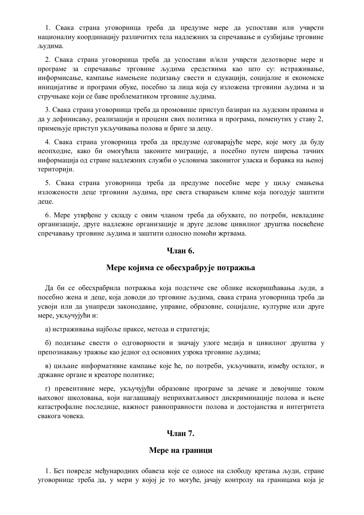1. Свака страна уговорница треба да предузме мере да успостави или учврсти националну координацију различитих тела надлежних за спречавање и сузбијање трговине људима.

2. Свака страна уговорница треба да успостави и/или учврсти делотворне мере и програме за спречавање трговине људима средствима као што су: истраживање, информисање, кампање намењене подизању свести и едукацији, социјалне и економске иницијативе и програми обуке, посебно за лица која су изложена трговини људима и за стручњаке који се баве проблематиком трговине људима.

3. Свака страна уговорница треба да промовише приступ базиран на људским правима и да у дефинисању, реализацији и процени свих политика и програма, поменутих у ставу 2, примењује приступ укључивања полова и бриге за децу.

4. Свака страна уговорница треба да предузме одговарајуће мере, које могу да буду неопходне, како би омогућила законите миграције, а посебно путем ширења тачних информација од стране надлежних служби о условима законитог уласка и боравка на њеној територији.

5. Свака страна уговорница треба да предузме посебне мере у циљу смањења изложености деце трговини људима, пре свега стварањем климе која погодује заштити деце.

6. Мере утврђене у складу с овим чланом треба да обухвате, по потреби, невладине организације, друге надлежне организације и друге делове цивилног друштва посвећене спречавању трговине људима и заштити односно помоћи жртвама.

#### **Члан 6.**

#### **Мере којима се обесхрабрује потражња**

Да би се обесхрабрила потражња која подстиче све облике искоришћавања људи, а посебно жена и деце, која доводи до трговине људима, свака страна уговорница треба да усвоји или да унапреди законодавне, управне, образовне, социјалне, културне или друге мере, укључујући и:

а) истраживања најбоље праксе, метода и стратегија;

б) подизање свести о одговорности и значају улоге медија и цивилног друштва у препознавању тражње као једног од основних узрока трговине људима;

в) циљане информативне кампање које ће, по потреби, укључивати, између осталог, и државне органе и креаторе политике;

г) превентивне мере, укључујући образовне програме за дечаке и девојчице током њиховог школовања, који наглашавају неприхватљивост дискриминације полова и њене катастрофалне последице, важност равноправности полова и достојанства и интегритета свакога човека.

### **Члан 7.**

#### **Мере на граници**

1. Без повреде међународних обавеза које се односе на слободу кретања људи, стране уговорнице треба да, у мери у којој је то могуће, јачају контролу на границама која је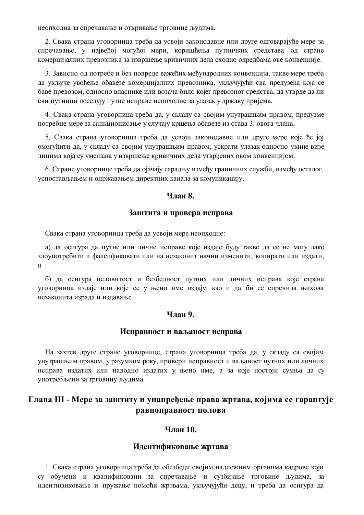неопходна за спречавање и откривање трговине људима.

2. Свака страна уговорница треба да усвоји законодавне или друге одговарајуће мере за спречавање, у највећој могућој мери, коришћења путничких средстава од стране комерцијалних превозника за извршење кривичних дела сходно одредбама ове конвенције.

3. Зависно од потребе и без повреде важећих међународних конвенција, такве мере треба да укључе увођење обавезе комерцијалних превозника, укључујући сва предузећа која се баве превозом, односно власнике или возача било којег превозног средства, да утврде да ли сви путници поседују путне исправе неопходне за улазак у државу пријема.

4. Свака страна уговорница треба да, у складу са својим унутрашњим правом, предузме потребне мере за санкционисање у случају кршења обавезе из става 3. овога члана.

5. Свака страна уговорница треба да усвоји законодавне или друге мере које ће јој омогућити да, у складу са својим унутрашњим правом, ускрати улазак односно укине визе лицима која су умешана у извршење кривичних дела утврђених овом конвенцијом.

6. Стране уговорнице треба да ојачају сарадњу између граничних служби, између осталог, успостављањем и одржавањем директних канала за комуникацију.

#### **Члан 8.**

#### **Заштита и провера исправа**

Свака страна уговорница треба да усвоји мере неопходне:

а) да осигура да путне или личне исправе које издаје буду такве да се не могу лако злоупотребити и фалсификовати или на незаконит начин изменити, копирати или издати, и

б) да осигура целовитост и безбедност путних или личних исправа које страна уговорница издаје или које се у њено име издају, као и да би се спречила њихова незаконита израда и издавање.

#### **Члан 9.**

#### **Исправност и ваљаност исправа**

На захтев друге стране уговорнице, страна уговорница треба да, у складу са својим унутрашњим правом, у разумном року, провери исправност и ваљаност путних или личних исправа издатих или наводно издатих у њено име, а за које постоји сумња да су употребљени за трговину људима.

### **Глава III - Мере за заштиту и унапређење права жртава, којима се гарантује равноправност полова**

#### **Члан 10.**

#### **Идентификовање жртава**

1. Свака страна уговорница треба да обезбеди својим надлежним органима кадрове који су обучени и квалификовани за спречавање и сузбијање трговине људима, за идентификовање и пружање помоћи жртвама, укључујући децу, и треба да осигура да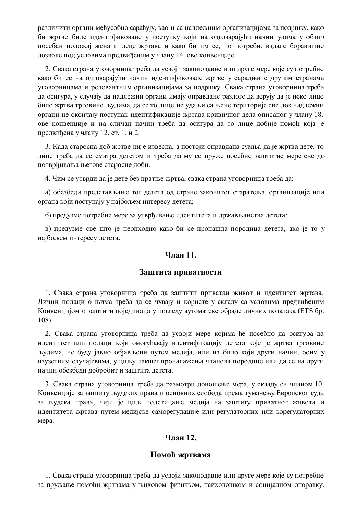различити органи међусобно сарађују, као и са надлежним организацијама за подршку, како би жртве биле идентификоване у поступку који на одговарајући начин узима у обзир посебан положај жена и деце жртава и како би им се, по потреби, издале боравишне дозволе под условима предвиђеним у члану 14. ове конвенције.

2. Свака страна уговорница треба да усвоји законодавне или друге мере које су потребне како би се на одговарајући начин идентификовале жртве у сарадњи с другим странама уговорницама и релевантним организацијама за подршку. Свака страна уговорница треба да осигура, у случају да надлежни органи имају оправдане разлоге да верују да је неко лице било жртва трговине људима, да се то лице не удаљи са њене територије све док надлежни органи не окончају поступак идентификације жртава кривичног дела описаног у члану 18. ове конвенције и на сличан начин треба да осигура да то лице добије помоћ која је предвиђена у члану 12. ст. 1. и 2.

3. Када старосна доб жртве није извесна, а постоји оправдана сумња да је жртва дете, то лице треба да се сматра дететом и треба да му се пруже посебне заштитне мере све до потврђивања његове старосне доби.

4. Чим се утврди да је дете без пратње жртва, свака страна уговорница треба да:

а) обезбеди представљање тог детета од стране законитог старатеља, организације или органа који поступају у најбољем интересу детета;

б) предузме потребне мере за утврђивање идентитета и држављанства детета;

в) предузме све што је неопходно како би се пронашла породица детета, ако је то у најбољем интересу детета.

### **Члан 11.**

#### **Заштита приватности**

1. Свака страна уговорница треба да заштити приватан живот и идентитет жртава. Лични подаци о њима треба да се чувају и користе у складу са условима предвиђеним Конвенцијом о заштити појединаца у погледу аутоматске обраде личних података (ETS бр. 108).

2. Свака страна уговорница треба да усвоји мере којима ће посебно да осигура да идентитет или подаци који омогућавају идентификацију детета које је жртва трговине људима, не буду јавно објављени путем медија, или на било који други начин, осим у изузетним случајевима, у циљу лакшег проналажења чланова породице или да се на други начин обезбеди добробит и заштита детета.

3. Свака страна уговорница треба да размотри доношење мера, у складу са чланом 10. Конвенције за заштиту људских права и основних слобода према тумачењу Европског суда за људска права, чији је циљ подстицање медија на заштиту приватног живота и идентитета жртава путем медијске саморегулације или регулаторних или корегулаторних мера.

#### **Члан 12.**

#### **Помоћ жртвама**

1. Свака страна уговорница треба да усвоји законодавне или друге мере које су потребне за пружање помоћи жртвама у њиховом физичком, психолошком и социјалном опоравку.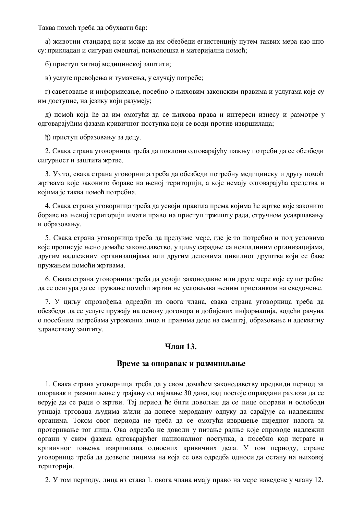Таква помоћ треба да обухвати бар:

а) животни стандард који може да им обезбеди егзистенцију путем таквих мера као што су: прикладан и сигуран смештај, психолошка и материјална помоћ;

б) приступ хитној медицинској заштити;

в) услуге превођења и тумачења, у случају потребе;

г) саветовање и информисање, посебно о њиховим законским правима и услугама које су им доступне, на језику који разумеју;

д) помоћ која ће да им омогући да се њихова права и интереси изнесу и размотре у одговарајућим фазама кривичног поступка који се води против извршилаца;

ђ) приступ образовању за децу.

2. Свака страна уговорница треба да поклони одговарајућу пажњу потреби да се обезбеди сигурност и заштита жртве.

3. Уз то, свака страна уговорница треба да обезбеди потребну медицинску и другу помоћ жртвама које законито бораве на њеној територији, а које немају одговарајућа средства и којима је таква помоћ потребна.

4. Свака страна уговорница треба да усвоји правила према којима ће жртве које законито бораве на њеној територији имати право на приступ тржишту рада, стручном усавршавању и образовању.

5. Свака страна уговорница треба да предузме мере, где је то потребно и под условима које прописује њено домаће законодавство, у циљу сарадње са невладиним организацијама, другим надлежним организацијама или другим деловима цивилног друштва који се баве пружањем помоћи жртвама.

6. Свака страна уговорница треба да усвоји законодавне или друге мере које су потребне да се осигура да се пружање помоћи жртви не условљава њеним пристанком на сведочење.

7. У циљу спровођења одредби из овога члана, свака страна уговорница треба да обезбеди да се услуге пружају на основу договора и добијених информација, водећи рачуна о посебним потребама угрожених лица и правима деце на смештај, образовање и адекватну здравствену заштиту.

### **Члан 13.**

#### **Време за опоравак и размишљање**

1. Свака страна уговорница треба да у свом домаћем законодавству предвиди период за опоравак и размишљање у трајању од најмање 30 дана, кад постоје оправдани разлози да се верује да се ради о жртви. Тај период ће бити довољан да се лице опорави и ослободи утицаја трговаца људима и/или да донесе меродавну одлуку да сарађује са надлежним органима. Током овог периода не треба да се омогући извршење ниједног налога за протеривање тог лица. Ова одредба не доводи у питање радње које спроводе надлежни органи у свим фазама одговарајућег националног поступка, а посебно код истраге и кривичног гоњења извршилаца односних кривичних дела. У том периоду, стране уговорнице треба да дозволе лицима на која се ова одредба односи да остану на њиховој територији.

2. У том периоду, лица из става 1. овога члана имају право на мере наведене у члану 12.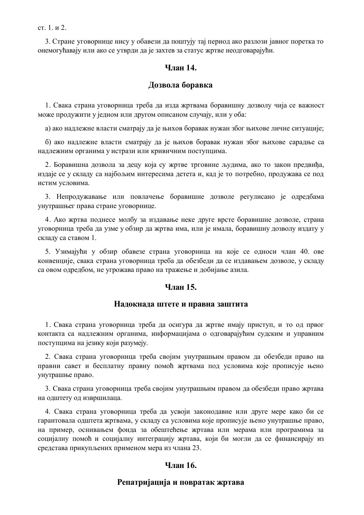ст. 1. и 2.

3. Стране уговорнице нису у обавези да поштују тај период ако разлози јавног поретка то онемогућавају или ако се утврди да је захтев за статус жртве неодговарајући.

#### **Члан 14.**

#### **Дозвола боравка**

1. Свака страна уговорница треба да изда жртвама боравишну дозволу чија се важност може продужити у једном или другом описаном случају, или у оба:

а) ако надлежне власти сматрају да је њихов боравак нужан због њихове личне ситуације;

б) ако надлежне власти сматрају да је њихов боравак нужан због њихове сарадње са надлежним органима у истрази или кривичним поступцима.

2. Боравишна дозвола за децу која су жртве трговине људима, ако то закон предвиђа, издаје се у складу са најбољим интересима детета и, кад је то потребно, продужава се под истим условима.

3. Непродужавање или повлачење боравишне дозволе регулисано је одредбама унутрашњег права стране уговорнице.

4. Ако жртва поднесе молбу за издавање неке друге врсте боравишне дозволе, страна уговорница треба да узме у обзир да жртва има, или је имала, боравишну дозволу издату у складу са ставом 1.

5. Узимајући у обзир обавезе страна уговорница на које се односи члан 40. ове конвенције, свака страна уговорница треба да обезбеди да се издавањем дозволе, у складу са овом одредбом, не угрожава право на тражење и добијање азила.

#### **Члан 15.**

#### **Надокнада штете и правна заштита**

1. Свака страна уговорница треба да осигура да жртве имају приступ, и то од првог контакта са надлежним органима, информацијама о одговарајућим судским и управним поступцима на језику који разумеју.

2. Свака страна уговорница треба својим унутрашњим правом да обезбеди право на правни савет и бесплатну правну помоћ жртвама под условима које прописује њено унутрашње право.

3. Свака страна уговорница треба својим унутрашњим правом да обезбеди право жртава на одштету од извршилаца.

4. Свака страна уговорница треба да усвоји законодавне или друге мере како би се гарантовала одштета жртвама, у складу са условима које прописује њено унутрашње право, на пример, оснивањем фонда за обештећење жртава или мерама или програмима за социјалну помоћ и социјалну интеграцију жртава, који би могли да се финансирају из средстава прикупљених применом мера из члана 23.

#### **Члан 16.**

#### **Репатријација и повратак жртава**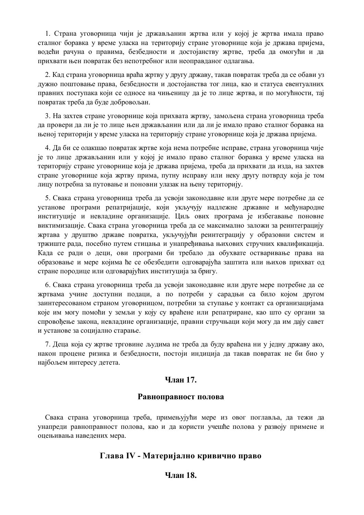1. Страна уговорница чији је држављанин жртва или у којој је жртва имала право сталног боравка у време уласка на територију стране уговорнице која је држава пријема, водећи рачуна о правима, безбедности и достојанству жртве, треба да омогући и да прихвати њен повратак без непотребног или неоправданог одлагања.

2. Кад страна уговорница враћа жртву у другу државу, такав повратак треба да се обави уз дужно поштовање права, безбедности и достојанства тог лица, као и статуса евентуалних правних поступака који се односе на чињеницу да је то лице жртва, и по могућности, тај повратак треба да буде добровољан.

3. На захтев стране уговорнице која прихвата жртву, замољена страна уговорница треба да провери да ли је то лице њен држављанин или да ли је имало право сталног боравка на њеној територији у време уласка на територију стране уговорнице која је држава пријема.

4. Да би се олакшао повратак жртве која нема потребне исправе, страна уговорница чије је то лице држављанин или у којој је имало право сталног боравка у време уласка на територију стране уговорнице која је држава пријема, треба да прихвати да изда, на захтев стране уговорнице која жртву прима, путну исправу или неку другу потврду која је том лицу потребна за путовање и поновни улазак на њену територију.

5. Свака страна уговорница треба да усвоји законодавне или друге мере потребне да се установе програми репатријације, који укључују надлежне државне и међународне институције и невладине организације. Циљ ових програма је избегавање поновне виктимизације. Свака страна уговорница треба да се максимално заложи за реинтеграцију жртава у друштво државе повратка, укључујући реинтеграцију у образовни систем и тржиште рада, посебно путем стицања и унапређивања њихових стручних квалификација. Када се ради о деци, ови програми би требало да обухвате остваривање права на образовање и мере којима ће се обезбедити одговарајућа заштита или њихов прихват од стране породице или одговарајућих институција за бригу.

6. Свака страна уговорница треба да усвоји законодавне или друге мере потребне да се жртвама учине доступни подаци, а по потреби у сарадњи са било којом другом заинтересованом страном уговорницом, потребни за ступање у контакт са организацијама које им могу помоћи у земљи у коју су враћене или репатриране, као што су органи за спровођење закона, невладине организације, правни стручњаци који могу да им дају савет и установе за социјално старање.

7. Деца која су жртве трговине људима не треба да буду враћена ни у једну државу ако, након процене ризика и безбедности, постоји индиција да такав повратак не би био у најбољем интересу детета.

### **Члан 17.**

#### **Равноправност полова**

Свака страна уговорница треба, примењујући мере из овог поглавља, да тежи да унапреди равноправност полова, као и да користи учешће полова у развоју примене и оцењивања наведених мера.

### **Глава IV - Материјално кривично право**

#### **Члан 18.**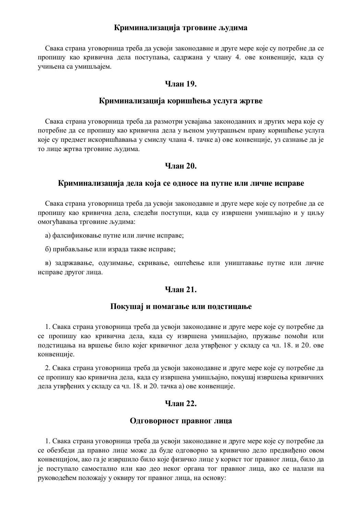#### **Криминализација трговине људима**

Свака страна уговорница треба да усвоји законодавне и друге мере које су потребне да се пропишу као кривична дела поступања, садржана у члану 4. ове конвенције, када су учињена са умишљајем.

#### **Члан 19.**

#### **Криминализација коришћења услуга жртве**

Свака страна уговорница треба да размотри усвајања законодавних и других мера које су потребне да се пропишу као кривична дела у њеном унутрашњем праву коришћење услуга које су предмет искоришћавања у смислу члана 4. тачке а) ове конвенције, уз сазнање да је то лице жртва трговине људима.

#### **Члан 20.**

#### **Криминализација дела која се односе на путне или личне исправе**

Свака страна уговорница треба да усвоји законодавне и друге мере које су потребне да се пропишу као кривична дела, следећи поступци, када су извршени умишљајно и у циљу омогућавања трговине људима:

а) фалсификовање путне или личне исправе;

б) прибављање или израда такве исправе;

в) задржавање, одузимање, скривање, оштећење или уништавање путне или личне исправе другог лица.

#### **Члан 21.**

#### **Покушај и помагање или подстицање**

1. Свака страна уговорница треба да усвоји законодавне и друге мере које су потребне да се пропишу као кривична дела, када су извршена умишљајно, пружање помоћи или подстицања на вршење било којег кривичног дела утврђеног у складу са чл. 18. и 20. ове конвенције.

2. Свака страна уговорница треба да усвоји законодавне и друге мере које су потребне да се пропишу као кривична дела, када су извршена умишљајно, покушај извршења кривичних дела утврђених у складу са чл. 18. и 20. тачка а) ове конвенције.

### **Члан 22.**

#### **Одговорност правног лица**

1. Свака страна уговорница треба да усвоји законодавне и друге мере које су потребне да се обезбеди да правно лице може да буде одговорно за кривично дело предвиђено овом конвенцијом, ако га је извршило било које физичко лице у корист тог правног лица, било да је поступало самостално или као део неког органа тог правног лица, ако се налази на руководећем положају у оквиру тог правног лица, на основу: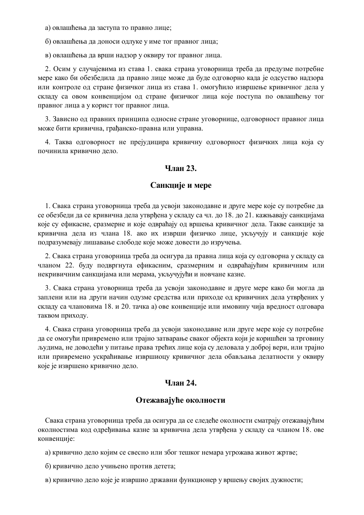а) овлашћења да заступа то правно лице;

б) овлашћења да доноси одлуке у име тог правног лица;

в) овлашћења да врши надзор у оквиру тог правног лица.

2. Осим у случајевима из става 1. свака страна уговорница треба да предузме потребне мере како би обезбедила да правно лице може да буде одговорно када је одсуство надзора или контроле од стране физичког лица из става 1. омогућило извршење кривичног дела у складу са овом конвенцијом од стране физичког лица које поступа по овлашћењу тог правног лица а у корист тог правног лица.

3. Зависно од правних принципа односне стране уговорнице, одговорност правног лица може бити кривична, грађанско-правна или управна.

4. Таква одговорност не прејудицира кривичну одговорност физичких лица која су починила кривично дело.

#### **Члан 23.**

### **Санкције и мере**

1. Свака страна уговорница треба да усвоји законодавне и друге мере које су потребне да се обезбеди да се кривична дела утврђена у складу са чл. до 18. до 21. кажњавају санкцијама које су ефикасне, сразмерне и које одвраћају од вршења кривичног дела. Такве санкције за кривична дела из члана 18. ако их изврши физичко лице, укључују и санкције које подразумевају лишавање слободе које може довести до изручења.

2. Свака страна уговорница треба да осигура да правна лица која су одговорна у складу са чланом 22. буду подвргнута ефикасним, сразмерним и одвраћајућим кривичним или некривичним санкцијама или мерама, укључујући и новчане казне.

3. Свака страна уговорница треба да усвоји законодавне и друге мере како би могла да заплени или на други начин одузме средства или приходе од кривичних дела утврђених у складу са члановима 18. и 20. тачка а) ове конвенције или имовину чија вредност одговара таквом приходу.

4. Свака страна уговорница треба да усвоји законодавне или друге мере које су потребне да се омогући привремено или трајно затварање сваког објекта који је коришћен за трговину људима, не доводећи у питање права трећих лице која су деловала у доброј вери, или трајно или привремено ускраћивање извршиоцу кривичног дела обављања делатности у оквиру које је извршено кривично дело.

### **Члан 24.**

### **Отежавајуће околности**

Свака страна уговорница треба да осигура да се следеће околности сматрају отежавајућим околностима код одређивања казне за кривична дела утврђена у складу са чланом 18. ове конвенције:

а) кривично дело којим се свесно или због тешког немара угрожава живот жртве;

б) кривично дело учињено против детета;

в) кривично дело које је извршио државни функционер у вршењу својих дужности;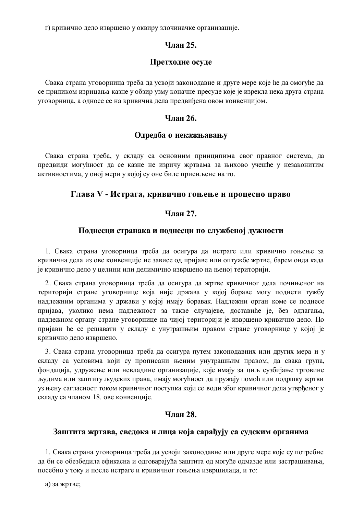г) кривично дело извршено у оквиру злочиначке организације.

### **Члан 25.**

#### **Претходне осуде**

Свака страна уговорница треба да усвоји законодавне и друге мере које ће да омогуће да се приликом изрицања казне у обзир узму коначне пресуде које је изрекла нека друга страна уговорница, а односе се на кривична дела предвиђена овом конвенцијом.

#### **Члан 26.**

#### **Одредба о некажњавању**

Свака страна треба, у складу са основним принципима свог правног система, да предвиди могућност да се казне не изричу жртвама за њихово учешће у незаконитим активностима, у оној мери у којој су оне биле присиљене на то.

### **Глава V - Истрага, кривично гоњење и процесно право**

### **Члан 27.**

#### **Поднесци странака и поднесци по службеној дужности**

1. Свака страна уговорница треба да осигура да истраге или кривично гоњење за кривична дела из ове конвенције не зависе од пријаве или оптужбе жртве, барем онда када је кривично дело у целини или делимично извршено на њеној територији.

2. Свака страна уговорница треба да осигура да жртве кривичног дела почињеног на територији стране уговорнице која није држава у којој бораве могу поднети тужбу надлежним органима у држави у којој имају боравак. Надлежни орган коме се поднесе пријава, уколико нема надлежност за такве случајеве, доставиће је, без одлагања, надлежном органу стране уговорнице на чијој територији је извршено кривично дело. По пријави ће се решавати у складу с унутрашњим правом стране уговорнице у којој је кривично дело извршено.

3. Свака страна уговорница треба да осигура путем законодавних или других мера и у складу са условима који су прописани њеним унутрашњим правом, да свака група, фондација, удружење или невладине организације, које имају за циљ сузбијање трговине људима или заштиту људских права, имају могућност да пружају помоћ или подршку жртви уз њену сагласност током кривичног поступка који се води због кривичног дела утврђеног у складу са чланом 18. ове конвенције.

### **Члан 28.**

#### **Заштита жртава, сведока и лица која сарађују са судским органима**

1. Свака страна уговорница треба да усвоји законодавне или друге мере које су потребне да би се обезбедила ефикасна и одговарајућа заштита од могуће одмазде или застрашивања, посебно у току и после истраге и кривичног гоњења извршилаца, и то:

а) за жртве;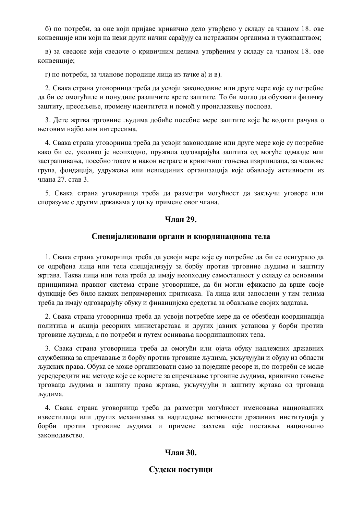б) по потреби, за оне који пријаве кривично дело утврђено у складу са чланом 18. ове конвенције или који на неки други начин сарађују са истражним органима и тужилаштвом;

в) за сведоке који сведоче о кривичним делима утврђеним у складу са чланом 18. ове конвенције;

г) по потреби, за чланове породице лица из тачке а) и в).

2. Свака страна уговорница треба да усвоји законодавне или друге мере које су потребне да би се омогућиле и понудиле различите врсте заштите. То би могло да обухвати физичку заштиту, пресељење, промену идентитета и помоћ у проналажењу послова.

3. Дете жртва трговине људима добиће посебне мере заштите које ће водити рачуна о његовим најбољим интересима.

4. Свака страна уговорница треба да усвоји законодавне или друге мере које су потребне како би се, уколико је неопходно, пружила одговарајућа заштита од могуће одмазде или застрашивања, посебно током и након истраге и кривичног гоњења извршилаца, за чланове група, фондација, удружења или невладиних организација које обављају активности из члана 27. став 3.

5. Свака страна уговорница треба да размотри могућност да закључи уговоре или споразуме с другим државама у циљу примене овог члана.

### **Члан 29.**

#### **Специјализовани органи и координациона тела**

1. Свака страна уговорница треба да усвоји мере које су потребне да би се осигурало да се одређена лица или тела специјализују за борбу против трговине људима и заштиту жртава. Таква лица или тела треба да имају неопходну самосталност у складу са основним принципима правног система стране уговорнице, да би могли ефикасно да врше своје функције без било каквих непримерених притисака. Та лица или запослени у тим телима треба да имају одговарајућу обуку и финанцијска средства за обављање својих задатака.

2. Свака страна уговорница треба да усвоји потребне мере да се обезбеди координација политика и акција ресорних министарстава и других јавних установа у борби против трговине људима, а по потреби и путем оснивања координационих тела.

3. Свака страна уговорница треба да омогући или ојача обуку надлежних државних службеника за спречавање и борбу против трговине људима, укључујући и обуку из области људских права. Обука се може организовати само за поједине ресоре и, по потреби се може усредсредити на: методе које се користе за спречавање трговине људима, кривично гоњење трговаца људима и заштиту права жртава, укључујући и заштиту жртава од трговаца људима.

4. Свака страна уговорница треба да размотри могућност именовања националних известилаца или других механизама за надгледање активности државних институција у борби против трговине људима и примене захтева које поставља национално законодавство.

#### **Члан 30.**

#### **Судски поступци**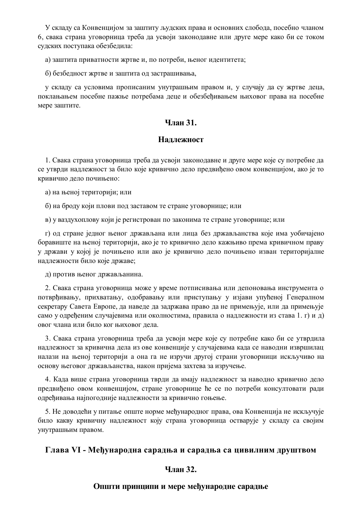У складу са Конвенцијом за заштиту људских права и основних слобода, посебно чланом 6, свака страна уговорница треба да усвоји законодавне или друге мере како би се током судских поступака обезбедила:

а) заштита приватности жртве и, по потреби, њеног идентитета;

б) безбедност жртве и заштита од застрашивања,

у складу са условима прописаним унутрашњим правом и, у случају да су жртве деца, поклањањем посебне пажње потребама деце и обезбеђивањем њиховог права на посебне мере заштите.

### **Члан 31.**

#### **Надлежност**

1. Свака страна уговорница треба да усвоји законодавне и друге мере које су потребне да се утврди надлежност за било које кривично дело предвиђено овом конвенцијом, ако је то кривично дело почињено:

а) на њеној територији; или

б) на броду који плови под заставом те стране уговорнице; или

в) у ваздухоплову који је регистрован по законима те стране уговорнице; или

г) од стране једног њеног држављана или лица без држављанства које има уобичајено боравиште на њеној територији, ако је то кривично дело кажњиво према кривичном праву у држави у којој је почињено или ако је кривично дело почињено изван територијалне надлежности било које државе;

д) против њеног држављанина.

2. Свака страна уговорница може у време потписивања или депоновања инструмента о потврђивању, прихватању, одобравању или приступању у изјави упућеној Генералном секретару Савета Европе, да наведе да задржава право да не примењује, или да примењује само у одређеним случајевима или околностима, правила о надлежности из става 1. г) и д) овог члана или било ког њиховог дела.

3. Свака страна уговорница треба да усвоји мере које су потребне како би се утврдила надлежност за кривична дела из ове конвенције у случајевима када се наводни извршилац налази на њеној територији а она га не изручи другој страни уговорници искључиво на основу његовог држављанства, након пријема захтева за изручење.

4. Када више страна уговорница тврди да имају надлежност за наводно кривично дело предвиђено овом конвенцијом, стране уговорнице ће се по потреби консултовати ради одређивања најпогодније надлежности за кривично гоњење.

5. Не доводећи у питање опште норме међународног права, ова Конвенција не искључује било какву кривичну надлежност коју страна уговорница остварује у складу са својим унутрашњим правом.

### **Глава VI - Међународна сарадња и сарадња са цивилним друштвом**

### **Члан 32.**

#### **Општи принципи и мере међународне сарадње**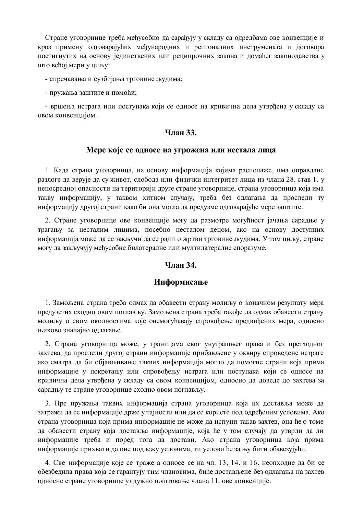Стране уговорнице треба међусобно да сарађују у складу са одредбама ове конвенције и кроз примену одговарајућих међународних и регионалних инструмената и договора постигнутих на основу јединствених или реципрочних закона и домаћег законодавства у што већој мери у циљу:

- спречавања и сузбијања трговине људима;

- пружања заштите и помоћи;

- вршења истрага или поступака који се односе на кривична дела утврђена у складу са овом конвенцијом.

### **Члан 33.**

#### **Мере које се односе на угрожена или нестала лица**

1. Када страна уговорница, на основу информација којима располаже, има оправдане разлоге да верује да су живот, слобода или физички интегритет лица из члана 28. став 1. у непосредној опасности на територији друге стране уговорнице, страна уговорница која има такву информацију, у таквом хитном случају, треба без одлагања да проследи ту информацију другој страни како би она могла да предузме одговарајуће мере заштите.

2. Стране уговорнице ове конвенције могу да размотре могућност јачања сарадње у трагању за несталим лицима, посебно несталом децом, ако на основу доступних информација може да се закључи да се ради о жртви трговине људима. У том циљу, стране могу да закључују међусобне билатералне или мултилатералне споразуме.

#### **Члан 34.**

### **Информисање**

1. Замољена страна треба одмах да обавести страну молиљу о коначном резултату мера предузетих сходно овом поглављу. Замољена страна треба такође да одмах обавести страну молиљу о свим околностима које онемогућавају спровођење предвиђених мера, односно њихово значајно одлагање.

2. Страна уговорница може, у границама свог унутрашњег права и без претходног захтева, да проследи другој страни информације прибављене у оквиру спроведене истраге ако сматра да би објављивање таквих информација могло да помогне страни која прима информације у покретању или спровођењу истрага или поступака који се односе на кривична дела утврђена у складу са овом конвенцијом, односно да доведе до захтева за сарадњу те стране уговорнице сходно овом поглављу.

3. Пре пружања таквих информација страна уговорница која их доставља може да затражи да се информације држе у тајности или да се користе под одређеним условима. Ако страна уговорница која прима информације не може да испуни такав захтев, она ће о томе да обавести страну која доставља информације, која ће у том случају да утврди да ли информације треба и поред тога да достави. Ако страна уговорница која прима информације прихвати да оне подлежу условима, ти услови ће за њу бити обавезујући.

4. Све информације које се траже а односе се на чл. 13, 14. и 16. неопходне да би се обезбедила права која се гарантују тим члановима, биће достављене без одлагања на захтев односне стране уговорнице уз дужно поштовање члана 11. ове конвенције.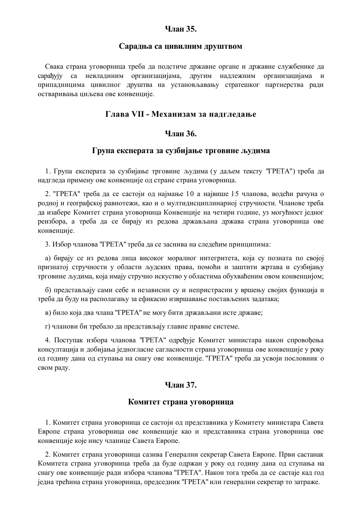#### **Члан 35.**

#### **Сарадња са цивилним друштвом**

Свака страна уговорница треба да подстиче државне органе и државне службенике да сарађују са невладиним организацијама, другим надлежним организацијама и припадницима цивилног друштва на установљавању стратешког партнерства ради остваривања циљева ове конвенције.

#### **Глава VII - Механизам за надгледање**

### **Члан 36.**

#### **Група експерата за сузбијање трговине људима**

1. Група експерата за сузбијање трговине људима (у даљем тексту "ГРЕТА") треба да надгледа примену ове конвенције од стране страна уговорница.

2. "ГРЕТА" треба да се састоји од најмање 10 а највише 15 чланова, водећи рачуна о родној и географској равнотежи, као и о мултидисциплинарној стручности. Чланове треба да изабере Комитет страна уговорница Конвенције на четири године, уз могућност једног реизбора, а треба да се бирају из редова држављана држава страна уговорница ове конвенције.

3. Избор чланова "ГРЕТА" треба да се заснива на следећим принципима:

а) бирају се из редова лица високог моралног интегритета, која су позната по својој признатој стручности у области људских права, помоћи и заштити жртава и сузбијању трговине људима, која имају стручно искуство у областима обухваћеним овом конвенцијом;

б) представљају сами себе и независни су и непристрасни у вршењу својих функција и треба да буду на располагању за ефикасно извршавање постављених задатака;

в) било која два члана "ГРЕТА" не могу бити држављани исте државе;

г) чланови би требало да представљају главне правне системе.

4. Поступак избора чланова "ГРЕТА" одређује Комитет министара након спровођења консултација и добијања једногласне сагласности страна уговорница ове конвенције у року од годину дана од ступања на снагу ове конвенције. "ГРЕТА" треба да усвоји пословник о свом раду.

#### **Члан 37.**

#### **Комитет страна уговорница**

1. Комитет страна уговорница се састоји од представника у Комитету министара Савета Европе страна уговорница ове конвенције као и представника страна уговорница ове конвенције које нису чланице Савета Европе.

2. Комитет страна уговорница сазива Генерални секретар Савета Европе. Први састанак Комитета страна уговорница треба да буде одржан у року од годину дана од ступања на снагу ове конвенције ради избора чланова "ГРЕТА". Након тога треба да се састаје кад год једна трећина страна уговорница, председник "ГРЕТА" или генерални секретар то затраже.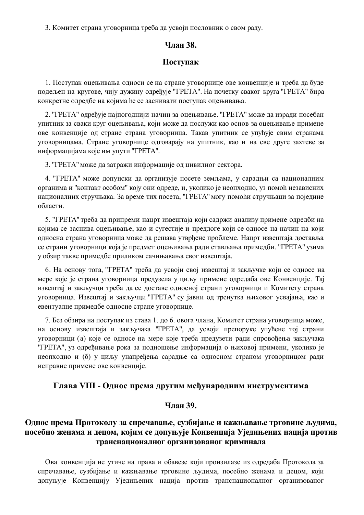3. Комитет страна уговорница треба да усвоји пословник о свом раду.

### **Члан 38.**

#### **Поступак**

1. Поступак оцењивања односи се на стране уговорнице ове конвенције и треба да буде подељен на кругове, чију дужину одређује "ГРЕТА". На почетку сваког круга "ГРЕТА" бира конкретне одредбе на којима ће се заснивати поступак оцењивања.

2. "ГРЕТА" одређује најпогоднији начин за оцењивање. "ГРЕТА" може да изради посебан упитник за сваки круг оцењивања, који може да послужи као основ за оцењивање примене ове конвенције од стране страна уговорница. Такав упитник се упућује свим странама уговорницама. Стране уговорнице одговарају на упитник, као и на све друге захтеве за информацијама које им упути "ГРЕТА".

3. "ГРЕТА" може да затражи информације од цивилног сектора.

4. "ГРЕТА" може допунски да организује посете земљама, у сарадњи са националним органима и "контакт особом" коју они одреде, и, уколико је неопходно, уз помоћ независних националних стручњака. За време тих посета, "ГРЕТА" могу помоћи стручњаци за поједине области.

5. "ГРЕТА" треба да припреми нацрт извештаја који садржи анализу примене одредби на којима се заснива оцењивање, као и сугестије и предлоге који се односе на начин на који односна страна уговорница може да решава утврђене проблеме. Нацрт извештаја доставља се страни уговорници која је предмет оцењивања ради стављања примедби. "ГРЕТА" узима у обзир такве примедбе приликом сачињавања свог извештаја.

6. На основу тога, "ГРЕТА" треба да усвоји свој извештај и закључке који се односе на мере које је страна уговорница предузела у циљу примене одредаба ове Конвенције. Тај извештај и закључци треба да се доставе односној страни уговорници и Комитету страна уговорница. Извештај и закључци "ГРЕТА" су јавни од тренутка њиховог усвајања, као и евентуалне примедбе односне стране уговорнице.

7. Без обзира на поступак из става 1. до 6. овога члана, Комитет страна уговорница може, на основу извештаја и закључака "ГРЕТА", да усвоји препоруке упућене тој страни уговорници (а) које се односе на мере које треба предузети ради спровођења закључака "ГРЕТА", уз одређивање рока за подношење информација о њиховој примени, уколико је неопходно и (б) у циљу унапређења сарадње са односном страном уговорницом ради исправне примене ове конвенције.

### **Глава VIII - Однос према другим међународним инструментима**

#### **Члан 39.**

### **Однос према Протоколу за спречавање, сузбијање и кажњавање трговине људима, посебно женама и децом, којим се допуњује Конвенција Уједињених нација против транснационалног организованог криминала**

Ова конвенција не утиче на права и обавезе који произилазе из одредаба Протокола за спречавање, сузбијање и кажњавање трговине људима, посебно женама и децом, који допуњује Конвенцију Уједињених нација против транснационалног организованог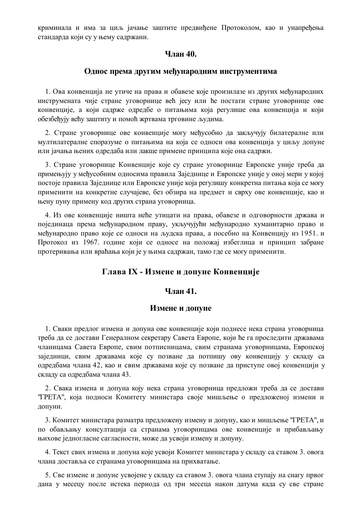криминала и има за циљ јачање заштите предвиђене Протоколом, као и унапређења стандарда који су у њему садржани.

#### **Члан 40.**

### **Однос према другим међународним инструментима**

1. Ова конвенција не утиче на права и обавезе које произилазе из других међународних инструмената чије стране уговорнице већ јесу или ће постати стране уговорнице ове конвенције, а који садрже одредбе о питањима која регулише ова конвенција и који обезбеђују већу заштиту и помоћ жртвама трговине људима.

2. Стране уговорнице ове конвенције могу међусобно да закључују билатералне или мултилатералне споразуме о питањима на која се односи ова конвенција у циљу допуне или јачања њених одредаба или лакше примене принципа које она садржи.

3. Стране уговорнице Конвенције које су стране уговорнице Европске уније треба да примењују у међусобним односима правила Заједнице и Европске уније у оној мери у којој постоје правила Заједнице или Европске уније која регулишу конкретна питања која се могу применити на конкретне случајеве, без обзира на предмет и сврху ове конвенције, као и њену пуну примену код других страна уговорница.

4. Из ове конвенције ништа неће утицати на права, обавезе и одговорности држава и појединаца према међународном праву, укључујући међународно хуманитарно право и међународно право које се односи на људска права, а посебно на Конвенцију из 1951. и Протокол из 1967. године који се односе на положај избеглица и принцип забране протеривања или враћања који је у њима садржан, тамо где се могу применити.

### **Глава IX - Измене и допуне Конвенције**

#### **Члан 41.**

#### **Измене и допуне**

1. Сваки предлог измена и допуна ове конвенције који поднесе нека страна уговорница треба да се достави Генералном секретару Савета Европе, који ће га проследити државама чланицама Савета Европе, свим потписницама, свим странама уговорницама, Европској заједници, свим државама које су позване да потпишу ову конвенцију у складу са одредбама члана 42, као и свим државама које су позване да приступе овој конвенцији у складу са одредбама члана 43.

2. Свака измена и допуна коју нека страна уговорница предложи треба да се достави "ГРЕТА", која подноси Комитету министара своје мишљење о предложеној измени и допуни.

3. Комитет министара разматра предложену измену и допуну, као и мишљење "ГРЕТА", и по обављању консултација са странама уговорницама ове конвенције и прибављању њихове једногласне сагласности, може да усвоји измену и допуну.

4. Текст свих измена и допуна које усвоји Комитет министара у складу са ставом 3. овога члана доставља се странама уговорницама на прихватање.

5. Све измене и допуне усвојене у складу са ставом 3. овога члана ступају на снагу првог дана у месецу после истека периода од три месеца након датума када су све стране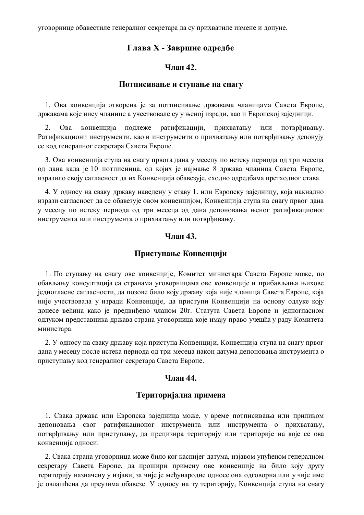уговорнице обавестиле генералног секретара да су прихватиле измене и допуне.

### **Глава X - Завршне одредбе**

### **Члан 42.**

#### **Потписивање и ступање на снагу**

1. Ова конвенција отворена је за потписивање државама чланицама Савета Европе, државама које нису чланице а учествовале су у њеној изради, као и Европској заједници.

2. Ова конвенција подлеже ратификацији, прихватању или потврђивању. Ратификациони инструменти, као и инструменти о прихватању или потврђивању депонују се код генералног секретара Савета Европе.

3. Ова конвенција ступа на снагу првога дана у месецу по истеку периода од три месеца од дана када је 10 потписница, од којих је најмање 8 држава чланица Савета Европе, изразило своју сагласност да их Конвенција обавезује, сходно одредбама претходног става.

4. У односу на сваку државу наведену у ставу 1. или Европску заједницу, која накнадно изрази сагласност да се обавезује овом конвенцијом, Конвенција ступа на снагу првог дана у месецу по истеку периода од три месеца од дана депоновања њеног ратификационог инструмента или инструмента о прихватању или потврђивању.

#### **Члан 43.**

### **Приступање Конвенцији**

1. По ступању на снагу ове конвенције, Комитет министара Савета Европе може, по обављању консултација са странама уговорницама ове конвенције и прибављања њихове једногласне сагласности, да позове било коју државу која није чланица Савета Европе, која није учествовала у изради Конвенције, да приступи Конвенцији на основу одлуке коју донесе већина како је предвиђено чланом 20г. Статута Савета Европе и једногласном одлуком представника држава страна уговорница које имају право учешћа у раду Комитета министара.

2. У односу на сваку државу која приступа Конвенцији, Конвенција ступа на снагу првог дана у месецу после истека периода од три месеца након датума депоновања инструмента о приступању код генералног секретара Савета Европе.

#### **Члан 44.**

### **Територијална примена**

1. Свака држава или Европска заједница може, у време потписивања или приликом депоновања свог ратификационог инструмента или инструмента о прихватању, потврђивању или приступању, да прецизира територију или територије на које се ова конвенција односи.

2. Свака страна уговорница може било ког каснијег датума, изјавом упућеном генералном секретару Савета Европе, да прошири примену ове конвенције на било коју другу територију назначену у изјави, за чије је међународне односе она одговорна или у чије име је овлашћена да преузима обавезе. У односу на ту територију, Конвенција ступа на снагу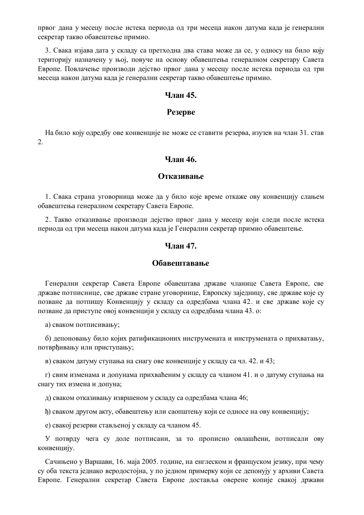првог дана у месецу после истека периода од три месеца након датума када је генерални секретар такво обавештење примио.

3. Свака изјава дата у складу са претходна два става може да се, у односу на било коју територију назначену у њој, повуче на основу обавештења генералном секретару Савета Европе. Повлачење производи дејство првог дана у месецу после истека периода од три месеца након датума када је генерални секретар такво обавештење примио.

#### **Члан 45.**

### **Резерве**

На било коју одредбу ове конвенције не може се ставити резерва, изузев на члан 31. став 2.

#### **Члан 46.**

#### **Отказивање**

1. Свака страна уговорница може да у било које време откаже ову конвенцију слањем обавештења генералном секретару Савета Европе.

2. Такво отказивање производи дејство првог дана у месецу који следи после истека периода од три месеца након датума када је Генерални секретар примио обавештење.

#### **Члан 47.**

#### **Обавештавање**

Генерални секретар Савета Европе обавештава државе чланице Савета Европе, све државе потписнице, све државе стране уговорнице, Европску заједницу, све државе које су позване да потпишу Конвенцију у складу са одредбама члана 42. и све државе које су позване да приступе овој конвенцији у складу са одредбама члана 43. о:

а) сваком потписивању;

б) депоновању било којих ратификационих инструмената и инструмената о прихватању, потврђивању или приступању;

в) сваком датуму ступања на снагу ове конвенције у складу са чл. 42. и 43;

г) свим изменама и допунама прихваћеним у складу са чланом 41. и о датуму ступања на снагу тих измена и допуна;

д) сваком отказивању извршеном у складу са одредбама члана 46;

ђ) сваком другом акту, обавештењу или саопштењу који се односе на ову конвенцију;

е) свакој резерви стављеној у складу са чланом 45.

У потврду чега су доле потписани, за то прописно овлашћени, потписали ову конвенцију.

Сачињено у Варшави, 16. маја 2005. године, на енглеском и француском језику, при чему су оба текста једнако веродостојна, у по једном примерку који се депонују у архиви Савета Европе. Генерални секретар Савета Европе доставља оверене копије свакој држави